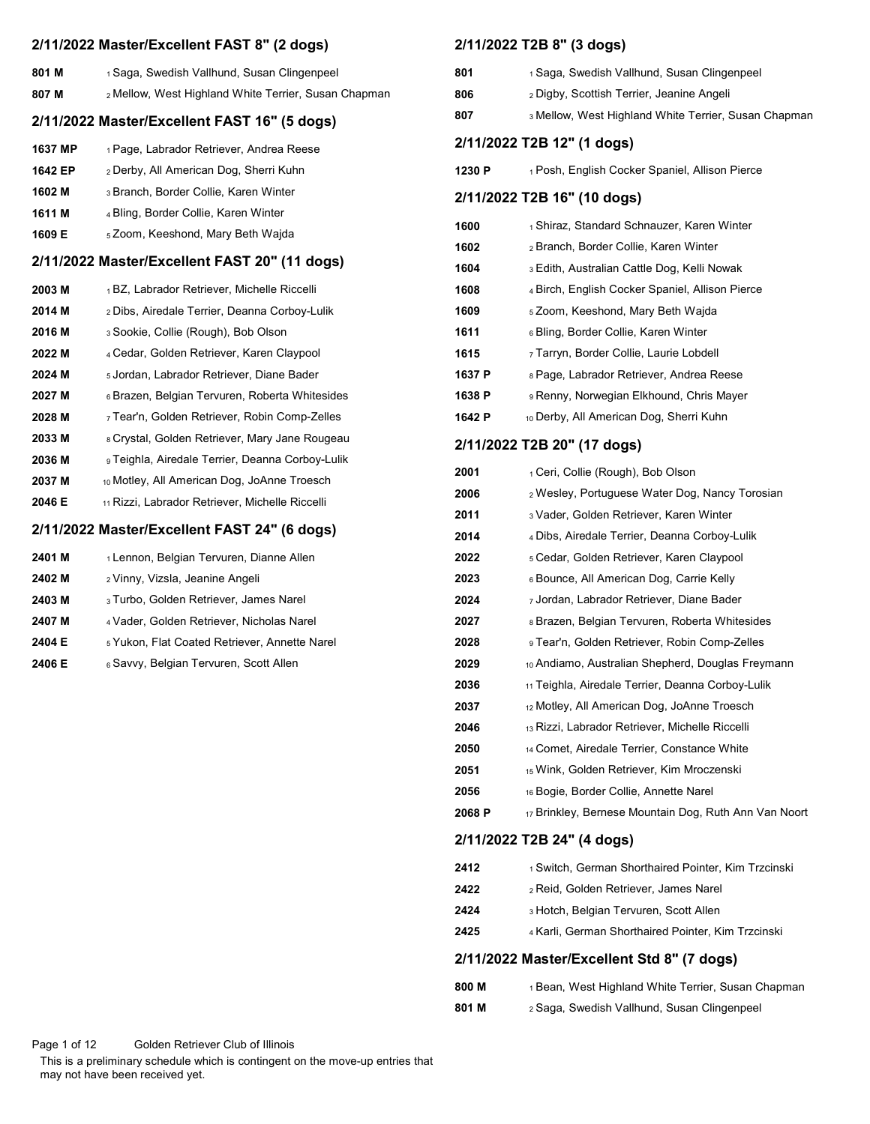### 2/11/2022 Master/Excellent FAST 8" (2 dogs)

| 801 M | 1 Saga, Swedish Vallhund, Susan Clingenpeel          |
|-------|------------------------------------------------------|
| 807 M | 2 Mellow, West Highland White Terrier, Susan Chapman |

# 2/11/2022 Master/Excellent FAST 16" (5 dogs)

| 1637 MP<br>1 Page, Labrador Retriever, Andrea Reese | 2111/2022 12B 12 |
|-----------------------------------------------------|------------------|
|-----------------------------------------------------|------------------|

- 1642 EP 2 Derby, All American Dog, Sherri Kuhn
- 1602 M 3 Branch, Border Collie, Karen Winter
- 1611 M 4 Bling, Border Collie, Karen Winter
- 1609 E 5 Zoom, Keeshond, Mary Beth Wajda

# 2/11/2022 Master/Excellent FAST 20" (11 dogs)

| 2003 M | 1BZ, Labrador Retriever, Michelle Riccelli       | 1608   | 4 Birch, English            |
|--------|--------------------------------------------------|--------|-----------------------------|
| 2014 M | 2 Dibs, Airedale Terrier, Deanna Corboy-Lulik    | 1609   | 5 Zoom, Keesh               |
| 2016 M | 3 Sookie, Collie (Rough), Bob Olson              | 1611   | 6 Bling, Border             |
| 2022 M | 4 Cedar, Golden Retriever, Karen Claypool        | 1615   | 7 Tarryn, Borde             |
| 2024 M | 5 Jordan, Labrador Retriever, Diane Bader        | 1637 P | 8 Page, Labrad              |
| 2027 M | 6 Brazen, Belgian Tervuren, Roberta Whitesides   | 1638 P | 9 Renny, Norw               |
| 2028 M | 7 Tear'n, Golden Retriever, Robin Comp-Zelles    | 1642 P | <sub>10</sub> Derby, All An |
| 2033 M | 8 Crystal, Golden Retriever, Mary Jane Rougeau   |        | 2/11/2022 T2B 20" (17       |
| 2036 M | 9 Teighla, Airedale Terrier, Deanna Corboy-Lulik |        |                             |
| 2037 M | 10 Motley, All American Dog, JoAnne Troesch      | 2001   | 1 Ceri, Collie (F           |
| 2046 E | 11 Rizzi, Labrador Retriever, Michelle Riccelli  | 2006   | 2 Wesley, Port              |
|        |                                                  |        |                             |

### 2/11/2022 Master/Excellent FAST 24" (6 dogs)

| 2401 M | 1 Lennon, Belgian Tervuren, Dianne Allen      | 2022 | <sub>5</sub> Cedar |
|--------|-----------------------------------------------|------|--------------------|
| 2402 M | 2 Vinny, Vizsla, Jeanine Angeli               | 2023 | 6 Bounc            |
| 2403 M | 3 Turbo, Golden Retriever, James Narel        | 2024 | 7 Jordar           |
| 2407 M | 4 Vader, Golden Retriever, Nicholas Narel     | 2027 | 8 Braze            |
| 2404 E | 5 Yukon, Flat Coated Retriever, Annette Narel | 2028 | ց Tear'n           |
| 2406 E | 6 Savvy, Belgian Tervuren, Scott Allen        | 2029 | 10 Andiar          |

## 2/11/2022 T2B 8" (3 dogs)

| 2 Mellow, West Highland White Terrier, Susan Chapman<br>806<br>2 Digby, Scottish Terrier, Jeanine Angeli<br>807 M<br>807<br>2/11/2022 T2B 12" (1 dogs)<br>1 Page, Labrador Retriever, Andrea Reese<br>1230 P<br>2 Derby, All American Dog, Sherri Kuhn<br>1 Posh, English Cocker Spaniel, Allison Pierce<br>3 Branch, Border Collie, Karen Winter<br>2/11/2022 T2B 16" (10 dogs)<br>4 Bling, Border Collie, Karen Winter<br>1600<br><sub>1</sub> Shiraz, Standard Schnauzer, Karen Winter<br>5 Zoom, Keeshond, Mary Beth Wajda<br>1602<br>2 Branch, Border Collie, Karen Winter<br>3 Edith, Australian Cattle Dog, Kelli Nowak<br>1604<br>1 BZ, Labrador Retriever, Michelle Riccelli<br>4 Birch, English Cocker Spaniel, Allison Pierce<br>1608<br>2 Dibs, Airedale Terrier, Deanna Corboy-Lulik<br>5 Zoom, Keeshond, Mary Beth Wajda<br>1609<br>3 Sookie, Collie (Rough), Bob Olson<br>6 Bling, Border Collie, Karen Winter<br>1611<br>4 Cedar, Golden Retriever, Karen Claypool<br>7 Tarryn, Border Collie, Laurie Lobdell<br>1615<br>5 Jordan, Labrador Retriever, Diane Bader<br>8 Page, Labrador Retriever, Andrea Reese<br>1637 P<br>6 Brazen, Belgian Tervuren, Roberta Whitesides<br>1638 P<br>9 Renny, Norwegian Elkhound, Chris Mayer<br>7 Tear'n, Golden Retriever, Robin Comp-Zelles<br>1642 P<br>10 Derby, All American Dog, Sherri Kuhn<br>8 Crystal, Golden Retriever, Mary Jane Rougeau<br>2/11/2022 T2B 20" (17 dogs)<br>9 Teighla, Airedale Terrier, Deanna Corboy-Lulik<br>2001<br><sub>1</sub> Ceri, Collie (Rough), Bob Olson<br>10 Motley, All American Dog, JoAnne Troesch<br>2006<br>2 Wesley, Portuguese Water Dog, Nancy Torosian<br>11 Rizzi, Labrador Retriever, Michelle Riccelli<br>2011<br>3 Vader, Golden Retriever, Karen Winter<br>2014<br>4 Dibs, Airedale Terrier, Deanna Corboy-Lulik<br>1 Lennon, Belgian Tervuren, Dianne Allen<br>2022<br>5 Cedar, Golden Retriever, Karen Claypool<br>2 Vinny, Vizsla, Jeanine Angeli<br>2023<br>6 Bounce, All American Dog, Carrie Kelly<br>3 Turbo, Golden Retriever, James Narel<br>7 Jordan, Labrador Retriever, Diane Bader<br>2024<br>4 Vader, Golden Retriever, Nicholas Narel<br>8 Brazen, Belgian Tervuren, Roberta Whitesides<br>2027<br>5 Yukon, Flat Coated Retriever, Annette Narel<br>g Tear'n, Golden Retriever, Robin Comp-Zelles<br>2028<br>6 Savvy, Belgian Tervuren, Scott Allen<br>10 Andiamo, Australian Shepherd, Douglas Freymann<br>2029<br>11 Teighla, Airedale Terrier, Deanna Corboy-Lulik<br>2036<br>12 Motley, All American Dog, JoAnne Troesch<br>2037<br>13 Rizzi, Labrador Retriever, Michelle Riccelli<br>2046<br>14 Comet, Airedale Terrier, Constance White<br>2050<br>15 Wink, Golden Retriever, Kim Mroczenski<br>2051<br>16 Bogie, Border Collie, Annette Narel<br>2056<br>2068 P<br>2/11/2022 T2B 24" (4 dogs)<br>2412<br>1 Switch, German Shorthaired Pointer, Kim Trzcinski<br>2422<br>2 Reid, Golden Retriever, James Narel<br>2424<br>3 Hotch, Belgian Tervuren, Scott Allen<br>2425<br>4 Karli, German Shorthaired Pointer, Kim Trzcinski<br>2/11/2022 Master/Excellent Std 8" (7 dogs)<br>800 M<br>2 Saga, Swedish Vallhund, Susan Clingenpeel<br>801 M<br>Golden Retriever Club of Illinois<br>This is a preliminary schedule which is contingent on the move-up entries that<br>may not have been received yet. | 3 Mellow, West Highland White Terrier, Susan Chapman<br>17 Brinkley, Bernese Mountain Dog, Ruth Ann Van Noort<br>1 Bean, West Highland White Terrier, Susan Chapman | 801 M | 1 Saga, Swedish Vallhund, Susan Clingenpeel | 801 | 1 Saga, Swedish Vallhund, Susan Clingenpeel |
|------------------------------------------------------------------------------------------------------------------------------------------------------------------------------------------------------------------------------------------------------------------------------------------------------------------------------------------------------------------------------------------------------------------------------------------------------------------------------------------------------------------------------------------------------------------------------------------------------------------------------------------------------------------------------------------------------------------------------------------------------------------------------------------------------------------------------------------------------------------------------------------------------------------------------------------------------------------------------------------------------------------------------------------------------------------------------------------------------------------------------------------------------------------------------------------------------------------------------------------------------------------------------------------------------------------------------------------------------------------------------------------------------------------------------------------------------------------------------------------------------------------------------------------------------------------------------------------------------------------------------------------------------------------------------------------------------------------------------------------------------------------------------------------------------------------------------------------------------------------------------------------------------------------------------------------------------------------------------------------------------------------------------------------------------------------------------------------------------------------------------------------------------------------------------------------------------------------------------------------------------------------------------------------------------------------------------------------------------------------------------------------------------------------------------------------------------------------------------------------------------------------------------------------------------------------------------------------------------------------------------------------------------------------------------------------------------------------------------------------------------------------------------------------------------------------------------------------------------------------------------------------------------------------------------------------------------------------------------------------------------------------------------------------------------------------------------------------------------------------------------------------------------------------------------------------------------------------------------------------------------------------------------------------------------------------------------------------|---------------------------------------------------------------------------------------------------------------------------------------------------------------------|-------|---------------------------------------------|-----|---------------------------------------------|
| 2/11/2022 Master/Excellent FAST 16" (5 dogs)<br>1637 MP<br>1642 EP<br>1602 M<br>1611 M<br>1609 E<br>2/11/2022 Master/Excellent FAST 20" (11 dogs)<br>2003 M<br>2014 M<br>2016 M<br>2022 M<br>2024 M<br>2027 M<br>2028 M<br>2033 M<br>2036 M<br>2037 M<br>2046 E<br>2/11/2022 Master/Excellent FAST 24" (6 dogs)<br>2401 M<br>2402 M<br>2403 M<br>2407 M<br>2404 E<br>2406 E<br>Page 1 of 12                                                                                                                                                                                                                                                                                                                                                                                                                                                                                                                                                                                                                                                                                                                                                                                                                                                                                                                                                                                                                                                                                                                                                                                                                                                                                                                                                                                                                                                                                                                                                                                                                                                                                                                                                                                                                                                                                                                                                                                                                                                                                                                                                                                                                                                                                                                                                                                                                                                                                                                                                                                                                                                                                                                                                                                                                                                                                                                                              |                                                                                                                                                                     |       |                                             |     |                                             |
|                                                                                                                                                                                                                                                                                                                                                                                                                                                                                                                                                                                                                                                                                                                                                                                                                                                                                                                                                                                                                                                                                                                                                                                                                                                                                                                                                                                                                                                                                                                                                                                                                                                                                                                                                                                                                                                                                                                                                                                                                                                                                                                                                                                                                                                                                                                                                                                                                                                                                                                                                                                                                                                                                                                                                                                                                                                                                                                                                                                                                                                                                                                                                                                                                                                                                                                                          |                                                                                                                                                                     |       |                                             |     |                                             |
|                                                                                                                                                                                                                                                                                                                                                                                                                                                                                                                                                                                                                                                                                                                                                                                                                                                                                                                                                                                                                                                                                                                                                                                                                                                                                                                                                                                                                                                                                                                                                                                                                                                                                                                                                                                                                                                                                                                                                                                                                                                                                                                                                                                                                                                                                                                                                                                                                                                                                                                                                                                                                                                                                                                                                                                                                                                                                                                                                                                                                                                                                                                                                                                                                                                                                                                                          |                                                                                                                                                                     |       |                                             |     |                                             |
|                                                                                                                                                                                                                                                                                                                                                                                                                                                                                                                                                                                                                                                                                                                                                                                                                                                                                                                                                                                                                                                                                                                                                                                                                                                                                                                                                                                                                                                                                                                                                                                                                                                                                                                                                                                                                                                                                                                                                                                                                                                                                                                                                                                                                                                                                                                                                                                                                                                                                                                                                                                                                                                                                                                                                                                                                                                                                                                                                                                                                                                                                                                                                                                                                                                                                                                                          |                                                                                                                                                                     |       |                                             |     |                                             |
|                                                                                                                                                                                                                                                                                                                                                                                                                                                                                                                                                                                                                                                                                                                                                                                                                                                                                                                                                                                                                                                                                                                                                                                                                                                                                                                                                                                                                                                                                                                                                                                                                                                                                                                                                                                                                                                                                                                                                                                                                                                                                                                                                                                                                                                                                                                                                                                                                                                                                                                                                                                                                                                                                                                                                                                                                                                                                                                                                                                                                                                                                                                                                                                                                                                                                                                                          |                                                                                                                                                                     |       |                                             |     |                                             |
|                                                                                                                                                                                                                                                                                                                                                                                                                                                                                                                                                                                                                                                                                                                                                                                                                                                                                                                                                                                                                                                                                                                                                                                                                                                                                                                                                                                                                                                                                                                                                                                                                                                                                                                                                                                                                                                                                                                                                                                                                                                                                                                                                                                                                                                                                                                                                                                                                                                                                                                                                                                                                                                                                                                                                                                                                                                                                                                                                                                                                                                                                                                                                                                                                                                                                                                                          |                                                                                                                                                                     |       |                                             |     |                                             |
|                                                                                                                                                                                                                                                                                                                                                                                                                                                                                                                                                                                                                                                                                                                                                                                                                                                                                                                                                                                                                                                                                                                                                                                                                                                                                                                                                                                                                                                                                                                                                                                                                                                                                                                                                                                                                                                                                                                                                                                                                                                                                                                                                                                                                                                                                                                                                                                                                                                                                                                                                                                                                                                                                                                                                                                                                                                                                                                                                                                                                                                                                                                                                                                                                                                                                                                                          |                                                                                                                                                                     |       |                                             |     |                                             |
|                                                                                                                                                                                                                                                                                                                                                                                                                                                                                                                                                                                                                                                                                                                                                                                                                                                                                                                                                                                                                                                                                                                                                                                                                                                                                                                                                                                                                                                                                                                                                                                                                                                                                                                                                                                                                                                                                                                                                                                                                                                                                                                                                                                                                                                                                                                                                                                                                                                                                                                                                                                                                                                                                                                                                                                                                                                                                                                                                                                                                                                                                                                                                                                                                                                                                                                                          |                                                                                                                                                                     |       |                                             |     |                                             |
|                                                                                                                                                                                                                                                                                                                                                                                                                                                                                                                                                                                                                                                                                                                                                                                                                                                                                                                                                                                                                                                                                                                                                                                                                                                                                                                                                                                                                                                                                                                                                                                                                                                                                                                                                                                                                                                                                                                                                                                                                                                                                                                                                                                                                                                                                                                                                                                                                                                                                                                                                                                                                                                                                                                                                                                                                                                                                                                                                                                                                                                                                                                                                                                                                                                                                                                                          |                                                                                                                                                                     |       |                                             |     |                                             |
|                                                                                                                                                                                                                                                                                                                                                                                                                                                                                                                                                                                                                                                                                                                                                                                                                                                                                                                                                                                                                                                                                                                                                                                                                                                                                                                                                                                                                                                                                                                                                                                                                                                                                                                                                                                                                                                                                                                                                                                                                                                                                                                                                                                                                                                                                                                                                                                                                                                                                                                                                                                                                                                                                                                                                                                                                                                                                                                                                                                                                                                                                                                                                                                                                                                                                                                                          |                                                                                                                                                                     |       |                                             |     |                                             |
|                                                                                                                                                                                                                                                                                                                                                                                                                                                                                                                                                                                                                                                                                                                                                                                                                                                                                                                                                                                                                                                                                                                                                                                                                                                                                                                                                                                                                                                                                                                                                                                                                                                                                                                                                                                                                                                                                                                                                                                                                                                                                                                                                                                                                                                                                                                                                                                                                                                                                                                                                                                                                                                                                                                                                                                                                                                                                                                                                                                                                                                                                                                                                                                                                                                                                                                                          |                                                                                                                                                                     |       |                                             |     |                                             |
|                                                                                                                                                                                                                                                                                                                                                                                                                                                                                                                                                                                                                                                                                                                                                                                                                                                                                                                                                                                                                                                                                                                                                                                                                                                                                                                                                                                                                                                                                                                                                                                                                                                                                                                                                                                                                                                                                                                                                                                                                                                                                                                                                                                                                                                                                                                                                                                                                                                                                                                                                                                                                                                                                                                                                                                                                                                                                                                                                                                                                                                                                                                                                                                                                                                                                                                                          |                                                                                                                                                                     |       |                                             |     |                                             |
|                                                                                                                                                                                                                                                                                                                                                                                                                                                                                                                                                                                                                                                                                                                                                                                                                                                                                                                                                                                                                                                                                                                                                                                                                                                                                                                                                                                                                                                                                                                                                                                                                                                                                                                                                                                                                                                                                                                                                                                                                                                                                                                                                                                                                                                                                                                                                                                                                                                                                                                                                                                                                                                                                                                                                                                                                                                                                                                                                                                                                                                                                                                                                                                                                                                                                                                                          |                                                                                                                                                                     |       |                                             |     |                                             |
|                                                                                                                                                                                                                                                                                                                                                                                                                                                                                                                                                                                                                                                                                                                                                                                                                                                                                                                                                                                                                                                                                                                                                                                                                                                                                                                                                                                                                                                                                                                                                                                                                                                                                                                                                                                                                                                                                                                                                                                                                                                                                                                                                                                                                                                                                                                                                                                                                                                                                                                                                                                                                                                                                                                                                                                                                                                                                                                                                                                                                                                                                                                                                                                                                                                                                                                                          |                                                                                                                                                                     |       |                                             |     |                                             |
|                                                                                                                                                                                                                                                                                                                                                                                                                                                                                                                                                                                                                                                                                                                                                                                                                                                                                                                                                                                                                                                                                                                                                                                                                                                                                                                                                                                                                                                                                                                                                                                                                                                                                                                                                                                                                                                                                                                                                                                                                                                                                                                                                                                                                                                                                                                                                                                                                                                                                                                                                                                                                                                                                                                                                                                                                                                                                                                                                                                                                                                                                                                                                                                                                                                                                                                                          |                                                                                                                                                                     |       |                                             |     |                                             |
|                                                                                                                                                                                                                                                                                                                                                                                                                                                                                                                                                                                                                                                                                                                                                                                                                                                                                                                                                                                                                                                                                                                                                                                                                                                                                                                                                                                                                                                                                                                                                                                                                                                                                                                                                                                                                                                                                                                                                                                                                                                                                                                                                                                                                                                                                                                                                                                                                                                                                                                                                                                                                                                                                                                                                                                                                                                                                                                                                                                                                                                                                                                                                                                                                                                                                                                                          |                                                                                                                                                                     |       |                                             |     |                                             |
|                                                                                                                                                                                                                                                                                                                                                                                                                                                                                                                                                                                                                                                                                                                                                                                                                                                                                                                                                                                                                                                                                                                                                                                                                                                                                                                                                                                                                                                                                                                                                                                                                                                                                                                                                                                                                                                                                                                                                                                                                                                                                                                                                                                                                                                                                                                                                                                                                                                                                                                                                                                                                                                                                                                                                                                                                                                                                                                                                                                                                                                                                                                                                                                                                                                                                                                                          |                                                                                                                                                                     |       |                                             |     |                                             |
|                                                                                                                                                                                                                                                                                                                                                                                                                                                                                                                                                                                                                                                                                                                                                                                                                                                                                                                                                                                                                                                                                                                                                                                                                                                                                                                                                                                                                                                                                                                                                                                                                                                                                                                                                                                                                                                                                                                                                                                                                                                                                                                                                                                                                                                                                                                                                                                                                                                                                                                                                                                                                                                                                                                                                                                                                                                                                                                                                                                                                                                                                                                                                                                                                                                                                                                                          |                                                                                                                                                                     |       |                                             |     |                                             |
|                                                                                                                                                                                                                                                                                                                                                                                                                                                                                                                                                                                                                                                                                                                                                                                                                                                                                                                                                                                                                                                                                                                                                                                                                                                                                                                                                                                                                                                                                                                                                                                                                                                                                                                                                                                                                                                                                                                                                                                                                                                                                                                                                                                                                                                                                                                                                                                                                                                                                                                                                                                                                                                                                                                                                                                                                                                                                                                                                                                                                                                                                                                                                                                                                                                                                                                                          |                                                                                                                                                                     |       |                                             |     |                                             |
|                                                                                                                                                                                                                                                                                                                                                                                                                                                                                                                                                                                                                                                                                                                                                                                                                                                                                                                                                                                                                                                                                                                                                                                                                                                                                                                                                                                                                                                                                                                                                                                                                                                                                                                                                                                                                                                                                                                                                                                                                                                                                                                                                                                                                                                                                                                                                                                                                                                                                                                                                                                                                                                                                                                                                                                                                                                                                                                                                                                                                                                                                                                                                                                                                                                                                                                                          |                                                                                                                                                                     |       |                                             |     |                                             |
|                                                                                                                                                                                                                                                                                                                                                                                                                                                                                                                                                                                                                                                                                                                                                                                                                                                                                                                                                                                                                                                                                                                                                                                                                                                                                                                                                                                                                                                                                                                                                                                                                                                                                                                                                                                                                                                                                                                                                                                                                                                                                                                                                                                                                                                                                                                                                                                                                                                                                                                                                                                                                                                                                                                                                                                                                                                                                                                                                                                                                                                                                                                                                                                                                                                                                                                                          |                                                                                                                                                                     |       |                                             |     |                                             |
|                                                                                                                                                                                                                                                                                                                                                                                                                                                                                                                                                                                                                                                                                                                                                                                                                                                                                                                                                                                                                                                                                                                                                                                                                                                                                                                                                                                                                                                                                                                                                                                                                                                                                                                                                                                                                                                                                                                                                                                                                                                                                                                                                                                                                                                                                                                                                                                                                                                                                                                                                                                                                                                                                                                                                                                                                                                                                                                                                                                                                                                                                                                                                                                                                                                                                                                                          |                                                                                                                                                                     |       |                                             |     |                                             |
|                                                                                                                                                                                                                                                                                                                                                                                                                                                                                                                                                                                                                                                                                                                                                                                                                                                                                                                                                                                                                                                                                                                                                                                                                                                                                                                                                                                                                                                                                                                                                                                                                                                                                                                                                                                                                                                                                                                                                                                                                                                                                                                                                                                                                                                                                                                                                                                                                                                                                                                                                                                                                                                                                                                                                                                                                                                                                                                                                                                                                                                                                                                                                                                                                                                                                                                                          |                                                                                                                                                                     |       |                                             |     |                                             |
|                                                                                                                                                                                                                                                                                                                                                                                                                                                                                                                                                                                                                                                                                                                                                                                                                                                                                                                                                                                                                                                                                                                                                                                                                                                                                                                                                                                                                                                                                                                                                                                                                                                                                                                                                                                                                                                                                                                                                                                                                                                                                                                                                                                                                                                                                                                                                                                                                                                                                                                                                                                                                                                                                                                                                                                                                                                                                                                                                                                                                                                                                                                                                                                                                                                                                                                                          |                                                                                                                                                                     |       |                                             |     |                                             |
|                                                                                                                                                                                                                                                                                                                                                                                                                                                                                                                                                                                                                                                                                                                                                                                                                                                                                                                                                                                                                                                                                                                                                                                                                                                                                                                                                                                                                                                                                                                                                                                                                                                                                                                                                                                                                                                                                                                                                                                                                                                                                                                                                                                                                                                                                                                                                                                                                                                                                                                                                                                                                                                                                                                                                                                                                                                                                                                                                                                                                                                                                                                                                                                                                                                                                                                                          |                                                                                                                                                                     |       |                                             |     |                                             |
|                                                                                                                                                                                                                                                                                                                                                                                                                                                                                                                                                                                                                                                                                                                                                                                                                                                                                                                                                                                                                                                                                                                                                                                                                                                                                                                                                                                                                                                                                                                                                                                                                                                                                                                                                                                                                                                                                                                                                                                                                                                                                                                                                                                                                                                                                                                                                                                                                                                                                                                                                                                                                                                                                                                                                                                                                                                                                                                                                                                                                                                                                                                                                                                                                                                                                                                                          |                                                                                                                                                                     |       |                                             |     |                                             |
|                                                                                                                                                                                                                                                                                                                                                                                                                                                                                                                                                                                                                                                                                                                                                                                                                                                                                                                                                                                                                                                                                                                                                                                                                                                                                                                                                                                                                                                                                                                                                                                                                                                                                                                                                                                                                                                                                                                                                                                                                                                                                                                                                                                                                                                                                                                                                                                                                                                                                                                                                                                                                                                                                                                                                                                                                                                                                                                                                                                                                                                                                                                                                                                                                                                                                                                                          |                                                                                                                                                                     |       |                                             |     |                                             |
|                                                                                                                                                                                                                                                                                                                                                                                                                                                                                                                                                                                                                                                                                                                                                                                                                                                                                                                                                                                                                                                                                                                                                                                                                                                                                                                                                                                                                                                                                                                                                                                                                                                                                                                                                                                                                                                                                                                                                                                                                                                                                                                                                                                                                                                                                                                                                                                                                                                                                                                                                                                                                                                                                                                                                                                                                                                                                                                                                                                                                                                                                                                                                                                                                                                                                                                                          |                                                                                                                                                                     |       |                                             |     |                                             |
|                                                                                                                                                                                                                                                                                                                                                                                                                                                                                                                                                                                                                                                                                                                                                                                                                                                                                                                                                                                                                                                                                                                                                                                                                                                                                                                                                                                                                                                                                                                                                                                                                                                                                                                                                                                                                                                                                                                                                                                                                                                                                                                                                                                                                                                                                                                                                                                                                                                                                                                                                                                                                                                                                                                                                                                                                                                                                                                                                                                                                                                                                                                                                                                                                                                                                                                                          |                                                                                                                                                                     |       |                                             |     |                                             |
|                                                                                                                                                                                                                                                                                                                                                                                                                                                                                                                                                                                                                                                                                                                                                                                                                                                                                                                                                                                                                                                                                                                                                                                                                                                                                                                                                                                                                                                                                                                                                                                                                                                                                                                                                                                                                                                                                                                                                                                                                                                                                                                                                                                                                                                                                                                                                                                                                                                                                                                                                                                                                                                                                                                                                                                                                                                                                                                                                                                                                                                                                                                                                                                                                                                                                                                                          |                                                                                                                                                                     |       |                                             |     |                                             |
|                                                                                                                                                                                                                                                                                                                                                                                                                                                                                                                                                                                                                                                                                                                                                                                                                                                                                                                                                                                                                                                                                                                                                                                                                                                                                                                                                                                                                                                                                                                                                                                                                                                                                                                                                                                                                                                                                                                                                                                                                                                                                                                                                                                                                                                                                                                                                                                                                                                                                                                                                                                                                                                                                                                                                                                                                                                                                                                                                                                                                                                                                                                                                                                                                                                                                                                                          |                                                                                                                                                                     |       |                                             |     |                                             |
|                                                                                                                                                                                                                                                                                                                                                                                                                                                                                                                                                                                                                                                                                                                                                                                                                                                                                                                                                                                                                                                                                                                                                                                                                                                                                                                                                                                                                                                                                                                                                                                                                                                                                                                                                                                                                                                                                                                                                                                                                                                                                                                                                                                                                                                                                                                                                                                                                                                                                                                                                                                                                                                                                                                                                                                                                                                                                                                                                                                                                                                                                                                                                                                                                                                                                                                                          |                                                                                                                                                                     |       |                                             |     |                                             |
|                                                                                                                                                                                                                                                                                                                                                                                                                                                                                                                                                                                                                                                                                                                                                                                                                                                                                                                                                                                                                                                                                                                                                                                                                                                                                                                                                                                                                                                                                                                                                                                                                                                                                                                                                                                                                                                                                                                                                                                                                                                                                                                                                                                                                                                                                                                                                                                                                                                                                                                                                                                                                                                                                                                                                                                                                                                                                                                                                                                                                                                                                                                                                                                                                                                                                                                                          |                                                                                                                                                                     |       |                                             |     |                                             |
|                                                                                                                                                                                                                                                                                                                                                                                                                                                                                                                                                                                                                                                                                                                                                                                                                                                                                                                                                                                                                                                                                                                                                                                                                                                                                                                                                                                                                                                                                                                                                                                                                                                                                                                                                                                                                                                                                                                                                                                                                                                                                                                                                                                                                                                                                                                                                                                                                                                                                                                                                                                                                                                                                                                                                                                                                                                                                                                                                                                                                                                                                                                                                                                                                                                                                                                                          |                                                                                                                                                                     |       |                                             |     |                                             |
|                                                                                                                                                                                                                                                                                                                                                                                                                                                                                                                                                                                                                                                                                                                                                                                                                                                                                                                                                                                                                                                                                                                                                                                                                                                                                                                                                                                                                                                                                                                                                                                                                                                                                                                                                                                                                                                                                                                                                                                                                                                                                                                                                                                                                                                                                                                                                                                                                                                                                                                                                                                                                                                                                                                                                                                                                                                                                                                                                                                                                                                                                                                                                                                                                                                                                                                                          |                                                                                                                                                                     |       |                                             |     |                                             |
|                                                                                                                                                                                                                                                                                                                                                                                                                                                                                                                                                                                                                                                                                                                                                                                                                                                                                                                                                                                                                                                                                                                                                                                                                                                                                                                                                                                                                                                                                                                                                                                                                                                                                                                                                                                                                                                                                                                                                                                                                                                                                                                                                                                                                                                                                                                                                                                                                                                                                                                                                                                                                                                                                                                                                                                                                                                                                                                                                                                                                                                                                                                                                                                                                                                                                                                                          |                                                                                                                                                                     |       |                                             |     |                                             |
|                                                                                                                                                                                                                                                                                                                                                                                                                                                                                                                                                                                                                                                                                                                                                                                                                                                                                                                                                                                                                                                                                                                                                                                                                                                                                                                                                                                                                                                                                                                                                                                                                                                                                                                                                                                                                                                                                                                                                                                                                                                                                                                                                                                                                                                                                                                                                                                                                                                                                                                                                                                                                                                                                                                                                                                                                                                                                                                                                                                                                                                                                                                                                                                                                                                                                                                                          |                                                                                                                                                                     |       |                                             |     |                                             |
|                                                                                                                                                                                                                                                                                                                                                                                                                                                                                                                                                                                                                                                                                                                                                                                                                                                                                                                                                                                                                                                                                                                                                                                                                                                                                                                                                                                                                                                                                                                                                                                                                                                                                                                                                                                                                                                                                                                                                                                                                                                                                                                                                                                                                                                                                                                                                                                                                                                                                                                                                                                                                                                                                                                                                                                                                                                                                                                                                                                                                                                                                                                                                                                                                                                                                                                                          |                                                                                                                                                                     |       |                                             |     |                                             |
|                                                                                                                                                                                                                                                                                                                                                                                                                                                                                                                                                                                                                                                                                                                                                                                                                                                                                                                                                                                                                                                                                                                                                                                                                                                                                                                                                                                                                                                                                                                                                                                                                                                                                                                                                                                                                                                                                                                                                                                                                                                                                                                                                                                                                                                                                                                                                                                                                                                                                                                                                                                                                                                                                                                                                                                                                                                                                                                                                                                                                                                                                                                                                                                                                                                                                                                                          |                                                                                                                                                                     |       |                                             |     |                                             |
|                                                                                                                                                                                                                                                                                                                                                                                                                                                                                                                                                                                                                                                                                                                                                                                                                                                                                                                                                                                                                                                                                                                                                                                                                                                                                                                                                                                                                                                                                                                                                                                                                                                                                                                                                                                                                                                                                                                                                                                                                                                                                                                                                                                                                                                                                                                                                                                                                                                                                                                                                                                                                                                                                                                                                                                                                                                                                                                                                                                                                                                                                                                                                                                                                                                                                                                                          |                                                                                                                                                                     |       |                                             |     |                                             |
|                                                                                                                                                                                                                                                                                                                                                                                                                                                                                                                                                                                                                                                                                                                                                                                                                                                                                                                                                                                                                                                                                                                                                                                                                                                                                                                                                                                                                                                                                                                                                                                                                                                                                                                                                                                                                                                                                                                                                                                                                                                                                                                                                                                                                                                                                                                                                                                                                                                                                                                                                                                                                                                                                                                                                                                                                                                                                                                                                                                                                                                                                                                                                                                                                                                                                                                                          |                                                                                                                                                                     |       |                                             |     |                                             |
|                                                                                                                                                                                                                                                                                                                                                                                                                                                                                                                                                                                                                                                                                                                                                                                                                                                                                                                                                                                                                                                                                                                                                                                                                                                                                                                                                                                                                                                                                                                                                                                                                                                                                                                                                                                                                                                                                                                                                                                                                                                                                                                                                                                                                                                                                                                                                                                                                                                                                                                                                                                                                                                                                                                                                                                                                                                                                                                                                                                                                                                                                                                                                                                                                                                                                                                                          |                                                                                                                                                                     |       |                                             |     |                                             |
|                                                                                                                                                                                                                                                                                                                                                                                                                                                                                                                                                                                                                                                                                                                                                                                                                                                                                                                                                                                                                                                                                                                                                                                                                                                                                                                                                                                                                                                                                                                                                                                                                                                                                                                                                                                                                                                                                                                                                                                                                                                                                                                                                                                                                                                                                                                                                                                                                                                                                                                                                                                                                                                                                                                                                                                                                                                                                                                                                                                                                                                                                                                                                                                                                                                                                                                                          |                                                                                                                                                                     |       |                                             |     |                                             |
|                                                                                                                                                                                                                                                                                                                                                                                                                                                                                                                                                                                                                                                                                                                                                                                                                                                                                                                                                                                                                                                                                                                                                                                                                                                                                                                                                                                                                                                                                                                                                                                                                                                                                                                                                                                                                                                                                                                                                                                                                                                                                                                                                                                                                                                                                                                                                                                                                                                                                                                                                                                                                                                                                                                                                                                                                                                                                                                                                                                                                                                                                                                                                                                                                                                                                                                                          |                                                                                                                                                                     |       |                                             |     |                                             |
|                                                                                                                                                                                                                                                                                                                                                                                                                                                                                                                                                                                                                                                                                                                                                                                                                                                                                                                                                                                                                                                                                                                                                                                                                                                                                                                                                                                                                                                                                                                                                                                                                                                                                                                                                                                                                                                                                                                                                                                                                                                                                                                                                                                                                                                                                                                                                                                                                                                                                                                                                                                                                                                                                                                                                                                                                                                                                                                                                                                                                                                                                                                                                                                                                                                                                                                                          |                                                                                                                                                                     |       |                                             |     |                                             |

# 2/11/2022 Master/Excellent Std 8" (7 dogs)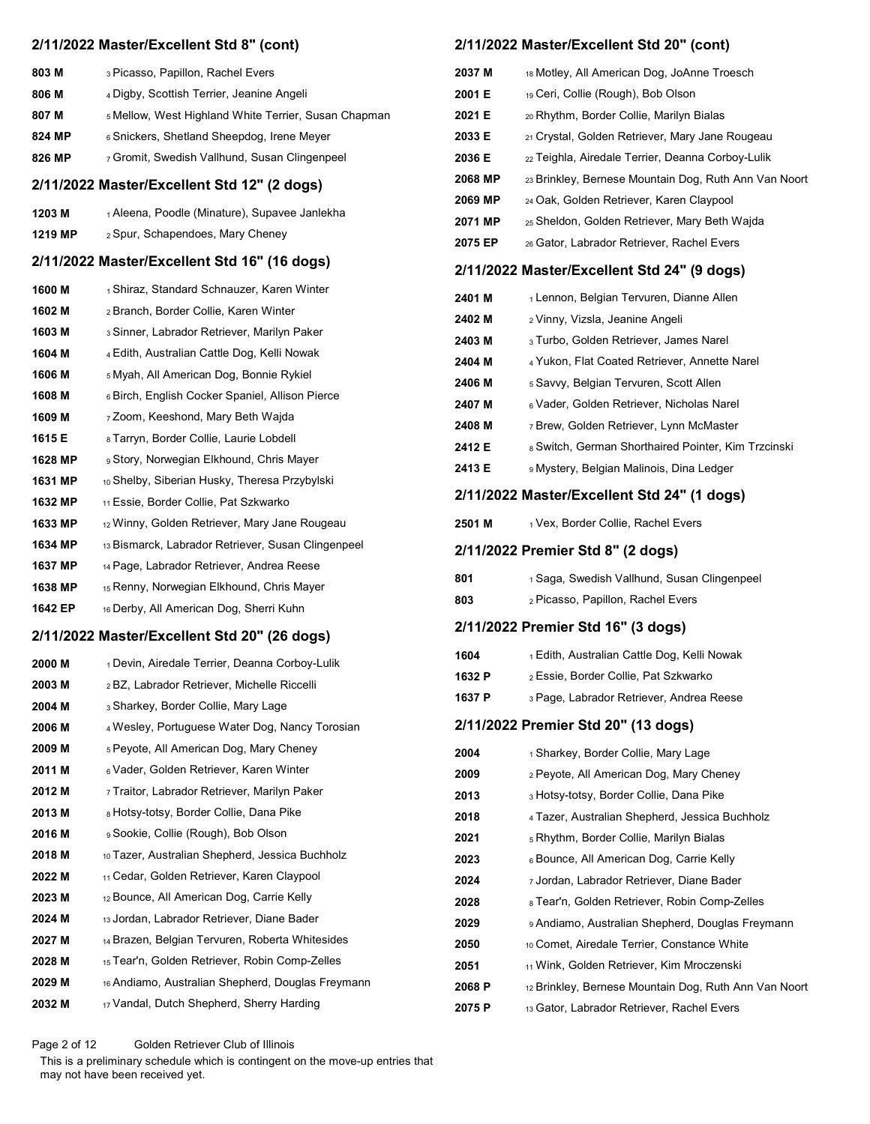|              | 2/11/2022 Master/Excellent Std 8" (cont)                                                                                                               |         | 2/11/2022 Master/Excellent S        |
|--------------|--------------------------------------------------------------------------------------------------------------------------------------------------------|---------|-------------------------------------|
| 803 M        | 3 Picasso, Papillon, Rachel Evers                                                                                                                      | 2037 M  | 18 Motley, All American             |
| 806 M        | 4 Digby, Scottish Terrier, Jeanine Angeli                                                                                                              | 2001 E  | 19 Ceri, Collie (Rough),            |
| 807 M        | 5 Mellow, West Highland White Terrier, Susan Chapman                                                                                                   | 2021 E  | <sub>20</sub> Rhythm, Border Collio |
| 824 MP       | 6 Snickers, Shetland Sheepdog, Irene Meyer                                                                                                             | 2033 E  | 21 Crystal, Golden Retri            |
| 826 MP       | 7 Gromit, Swedish Vallhund, Susan Clingenpeel                                                                                                          | 2036 E  | 22 Teighla, Airedale Ter            |
|              | 2/11/2022 Master/Excellent Std 12" (2 dogs)                                                                                                            | 2068 MP | 23 Brinkley, Bernese Mo             |
| 1203 M       | 1 Aleena, Poodle (Minature), Supavee Janlekha                                                                                                          | 2069 MP | 24 Oak, Golden Retrieve             |
| 1219 MP      | 2 Spur, Schapendoes, Mary Cheney                                                                                                                       | 2071 MP | 25 Sheldon, Golden Ret              |
|              |                                                                                                                                                        | 2075 EP | 26 Gator, Labrador Retri            |
|              | 2/11/2022 Master/Excellent Std 16" (16 dogs)                                                                                                           |         | 2/11/2022 Master/Excellent S        |
| 1600 M       | <sub>1</sub> Shiraz, Standard Schnauzer, Karen Winter                                                                                                  | 2401 M  | 1 Lennon, Belgian Terv              |
| 1602 M       | 2 Branch, Border Collie, Karen Winter                                                                                                                  | 2402 M  | 2 Vinny, Vizsla, Jeanin             |
| 1603 M       | 3 Sinner, Labrador Retriever, Marilyn Paker                                                                                                            | 2403 M  | 3 Turbo, Golden Retrie              |
| 1604 M       | 4 Edith, Australian Cattle Dog, Kelli Nowak                                                                                                            | 2404 M  | 4 Yukon, Flat Coated F              |
| 1606 M       | 5 Myah, All American Dog, Bonnie Rykiel                                                                                                                | 2406 M  | 5 Savvy, Belgian Tervu              |
| 1608 M       | 6 Birch, English Cocker Spaniel, Allison Pierce                                                                                                        | 2407 M  | 6 Vader, Golden Retrie              |
| 1609 M       | 7 Zoom, Keeshond, Mary Beth Wajda                                                                                                                      | 2408 M  | 7 Brew, Golden Retriev              |
| 1615 E       | 8 Tarryn, Border Collie, Laurie Lobdell                                                                                                                | 2412 E  | 8 Switch, German Shor               |
| 1628 MP      | 9 Story, Norwegian Elkhound, Chris Mayer                                                                                                               | 2413 E  | 9 Mystery, Belgian Mali             |
| 1631 MP      | 10 Shelby, Siberian Husky, Theresa Przybylski                                                                                                          |         | 2/11/2022 Master/Excellent S        |
| 1632 MP      | 11 Essie, Border Collie, Pat Szkwarko                                                                                                                  |         |                                     |
| 1633 MP      | 12 Winny, Golden Retriever, Mary Jane Rougeau                                                                                                          | 2501 M  | 1 Vex, Border Collie, R             |
| 1634 MP      | 13 Bismarck, Labrador Retriever, Susan Clingenpeel                                                                                                     |         | 2/11/2022 Premier Std 8" (2 of      |
| 1637 MP      | 14 Page, Labrador Retriever, Andrea Reese                                                                                                              | 801     | 1 Saga, Swedish Vallhi              |
| 1638 MP      | 15 Renny, Norwegian Elkhound, Chris Mayer                                                                                                              | 803     | 2 Picasso, Papillon, Ra             |
| 1642 EP      | 16 Derby, All American Dog, Sherri Kuhn                                                                                                                |         | 2/11/2022 Premier Std 16" (3        |
|              | 2/11/2022 Master/Excellent Std 20" (26 dogs)                                                                                                           | 1604    | <sub>1</sub> Edith, Australian Catt |
| 2000 M       | 1 Devin, Airedale Terrier, Deanna Corboy-Lulik                                                                                                         | 1632 P  | 2 Essie, Border Collie,             |
| 2003 M       | 2 BZ, Labrador Retriever, Michelle Riccelli                                                                                                            | 1637 P  | <sub>3</sub> Page, Labrador Retri   |
| 2004 M       | 3 Sharkey, Border Collie, Mary Lage                                                                                                                    |         |                                     |
| 2006 M       | 4 Wesley, Portuguese Water Dog, Nancy Torosian                                                                                                         |         | 2/11/2022 Premier Std 20" (1        |
| 2009 M       | 5 Peyote, All American Dog, Mary Cheney                                                                                                                | 2004    | 1 Sharkey, Border Colli             |
| 2011 M       | 6 Vader, Golden Retriever, Karen Winter                                                                                                                | 2009    | 2 Peyote, All American              |
| 2012 M       | <sub>7</sub> Traitor, Labrador Retriever, Marilyn Paker                                                                                                | 2013    | 3 Hotsy-totsy, Border C             |
| 2013 M       | 8 Hotsy-totsy, Border Collie, Dana Pike                                                                                                                | 2018    | 4 Tazer, Australian She             |
| 2016 M       | 9 Sookie, Collie (Rough), Bob Olson                                                                                                                    | 2021    | 5 Rhythm, Border Collio             |
| 2018 M       | 10 Tazer, Australian Shepherd, Jessica Buchholz                                                                                                        | 2023    | 6 Bounce, All Americar              |
| 2022 M       | 11 Cedar, Golden Retriever, Karen Claypool                                                                                                             | 2024    | 7 Jordan, Labrador Ret              |
| 2023 M       | 12 Bounce, All American Dog, Carrie Kelly                                                                                                              | 2028    | 8 Tear'n, Golden Retrie             |
| 2024 M       | 13 Jordan, Labrador Retriever, Diane Bader                                                                                                             | 2029    | ∍ Andiamo, Australian               |
| 2027 M       | 14 Brazen, Belgian Tervuren, Roberta Whitesides                                                                                                        | 2050    | 10 Comet, Airedale Terr             |
| 2028 M       | 15 Tear'n, Golden Retriever, Robin Comp-Zelles                                                                                                         | 2051    | 11 Wink, Golden Retriev             |
| 2029 M       | 16 Andiamo, Australian Shepherd, Douglas Freymann                                                                                                      | 2068 P  | 12 Brinkley, Bernese Mo             |
| 2032 M       | 17 Vandal, Dutch Shepherd, Sherry Harding                                                                                                              | 2075 P  | 13 Gator, Labrador Retri            |
| Page 2 of 12 | Golden Retriever Club of Illinois<br>This is a preliminary schedule which is contingent on the move-up entries that<br>may not have been received yet. |         |                                     |

# 2/11/2022 Master/Excellent Std 20" (cont)

| 2037 M  | 18 Motley, All American Dog, JoAnne Troesch           |
|---------|-------------------------------------------------------|
| 2001 E  | 19 Ceri, Collie (Rough), Bob Olson                    |
| 2021 E  | 20 Rhythm, Border Collie, Marilyn Bialas              |
| 2033 E  | 21 Crystal, Golden Retriever, Mary Jane Rougeau       |
| 2036 E  | 22 Teighla, Airedale Terrier, Deanna Corboy-Lulik     |
| 2068 MP | 23 Brinkley, Bernese Mountain Dog, Ruth Ann Van Noort |
| 2069 MP | 24 Oak, Golden Retriever, Karen Claypool              |
| 2071 MP | 25 Sheldon, Golden Retriever, Mary Beth Wajda         |
| 2075 EP | 26 Gator, Labrador Retriever, Rachel Evers            |
|         | 2/11/2022 Master/Excellent Std 24" (9 dogs)           |
| 2401 M  | 1 Lennon, Belgian Tervuren, Dianne Allen              |
| 2402 M  | 2 Vinny, Vizsla, Jeanine Angeli                       |
| 2403 M  | 3 Turbo, Golden Retriever, James Narel                |
| 2404 M  | 4 Yukon, Flat Coated Retriever, Annette Narel         |
| 2406 M  | 5 Savvy, Belgian Tervuren, Scott Allen                |
| 2407 M  | 6 Vader, Golden Retriever, Nicholas Narel             |
| 2408 M  | 7 Brew, Golden Retriever, Lynn McMaster               |
| 2412 E  | 8 Switch, German Shorthaired Pointer, Kim Trzcinski   |
| 2413 E  | و Mystery, Belgian Malinois, Dina Ledger              |
|         | 2/11/2022 Master/Excellent Std 24" (1 dogs)           |
| 2501 M  | 1 Vex, Border Collie, Rachel Evers                    |
|         | 2/11/2022 Premier Std 8" (2 dogs)                     |
| 801     | 1 Saga, Swedish Vallhund, Susan Clingenpeel           |
| 803     | 2 Picasso, Papillon, Rachel Evers                     |
|         | 2/11/2022 Premier Std 16" (3 dogs)                    |
| 1604    | 1 Edith, Australian Cattle Dog, Kelli Nowak           |
| 1632 P  | 2 Essie, Border Collie, Pat Szkwarko                  |
| 1637 P  | 3 Page, Labrador Retriever, Andrea Reese              |
|         | 2/11/2022 Premier Std 20" (13 dogs)                   |
| 2004    | <sub>1</sub> Sharkey, Border Collie, Mary Lage        |
| 2009    | <sub>2</sub> Peyote, All American Dog, Mary Cheney    |
| 2013    | 3 Hotsy-totsy, Border Collie, Dana Pike               |
| 2018    | 4 Tazer, Australian Shepherd, Jessica Buchholz        |
| 2021    | 5 Rhythm, Border Collie, Marilyn Bialas               |
| 2023    | 6 Bounce, All American Dog, Carrie Kelly              |
| 2024    | 7 Jordan, Labrador Retriever, Diane Bader             |
| 2028    | 8 Tear'n, Golden Retriever, Robin Comp-Zelles         |
| 2029    | 9 Andiamo, Australian Shepherd, Douglas Freymann      |
| 2050    | 10 Comet, Airedale Terrier, Constance White           |
| 2051    |                                                       |
|         | 11 Wink, Golden Retriever, Kim Mroczenski             |
| 2068 P  | 12 Brinkley, Bernese Mountain Dog, Ruth Ann Van Noort |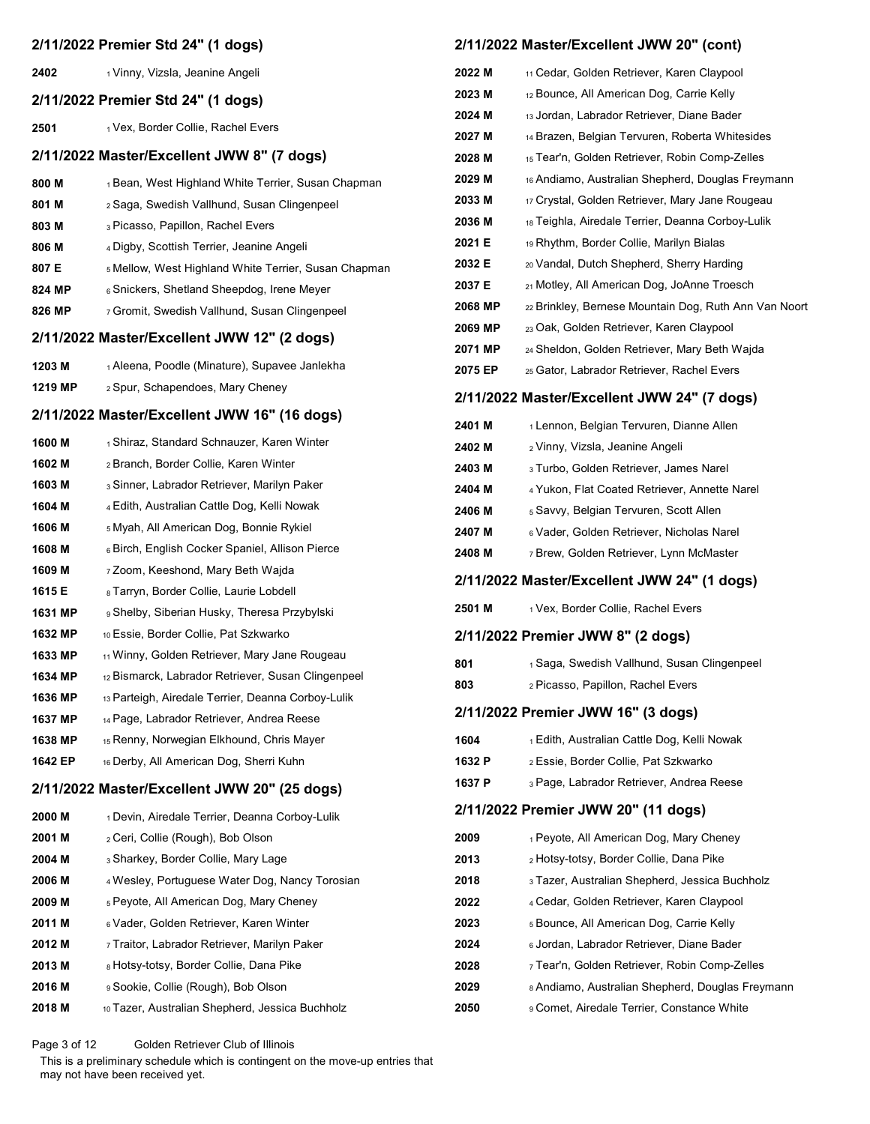|         | 2/11/2022 Premier Std 24" (1 dogs)                   |         | 2/11/2022 Master/Excellent JWW 20" (cont)             |
|---------|------------------------------------------------------|---------|-------------------------------------------------------|
| 2402    | 1 Vinny, Vizsla, Jeanine Angeli                      | 2022 M  | 11 Cedar, Golden Retriever, Karen Claypool            |
|         | 2/11/2022 Premier Std 24" (1 dogs)                   | 2023 M  | 12 Bounce, All American Dog, Carrie Kelly             |
|         |                                                      | 2024 M  | 13 Jordan, Labrador Retriever, Diane Bader            |
| 2501    | 1 Vex, Border Collie, Rachel Evers                   | 2027 M  | 14 Brazen, Belgian Tervuren, Roberta Whitesides       |
|         | 2/11/2022 Master/Excellent JWW 8" (7 dogs)           | 2028 M  | 15 Tear'n, Golden Retriever, Robin Comp-Zelles        |
| 800 M   | 1 Bean, West Highland White Terrier, Susan Chapman   | 2029 M  | 16 Andiamo, Australian Shepherd, Douglas Freymann     |
| 801 M   | 2 Saga, Swedish Vallhund, Susan Clingenpeel          | 2033 M  | 17 Crystal, Golden Retriever, Mary Jane Rougeau       |
| 803 M   | 3 Picasso, Papillon, Rachel Evers                    | 2036 M  | 18 Teighla, Airedale Terrier, Deanna Corboy-Lulik     |
| 806 M   | 4 Digby, Scottish Terrier, Jeanine Angeli            | 2021 E  | 19 Rhythm, Border Collie, Marilyn Bialas              |
| 807 E   | 5 Mellow, West Highland White Terrier, Susan Chapman | 2032 E  | 20 Vandal, Dutch Shepherd, Sherry Harding             |
| 824 MP  | 6 Snickers, Shetland Sheepdog, Irene Meyer           | 2037 E  | 21 Motley, All American Dog, JoAnne Troesch           |
| 826 MP  | 7 Gromit, Swedish Vallhund, Susan Clingenpeel        | 2068 MP | 22 Brinkley, Bernese Mountain Dog, Ruth Ann Van Noort |
|         |                                                      | 2069 MP | 23 Oak, Golden Retriever, Karen Claypool              |
|         | 2/11/2022 Master/Excellent JWW 12" (2 dogs)          | 2071 MP | 24 Sheldon, Golden Retriever, Mary Beth Wajda         |
| 1203 M  | 1 Aleena, Poodle (Minature), Supavee Janlekha        | 2075 EP | 25 Gator, Labrador Retriever, Rachel Evers            |
| 1219 MP | 2 Spur, Schapendoes, Mary Cheney                     |         | 2/11/2022 Master/Excellent JWW 24" (7 dogs)           |
|         | 2/11/2022 Master/Excellent JWW 16" (16 dogs)         | 2401 M  | 1 Lennon, Belgian Tervuren, Dianne Allen              |
| 1600 M  | 1 Shiraz, Standard Schnauzer, Karen Winter           | 2402 M  | 2 Vinny, Vizsla, Jeanine Angeli                       |
| 1602 M  | 2 Branch, Border Collie, Karen Winter                | 2403 M  | 3 Turbo, Golden Retriever, James Narel                |
| 1603 M  | 3 Sinner, Labrador Retriever, Marilyn Paker          | 2404 M  | 4 Yukon, Flat Coated Retriever, Annette Narel         |
| 1604 M  | 4 Edith, Australian Cattle Dog, Kelli Nowak          | 2406 M  | 5 Savvy, Belgian Tervuren, Scott Allen                |
| 1606 M  | 5 Myah, All American Dog, Bonnie Rykiel              | 2407 M  | 6 Vader, Golden Retriever, Nicholas Narel             |
| 1608 M  | 6 Birch, English Cocker Spaniel, Allison Pierce      | 2408 M  |                                                       |
| 1609 M  | 7 Zoom, Keeshond, Mary Beth Wajda                    |         | 7 Brew, Golden Retriever, Lynn McMaster               |
| 1615 E  | 8 Tarryn, Border Collie, Laurie Lobdell              |         | 2/11/2022 Master/Excellent JWW 24" (1 dogs)           |
| 1631 MP | 9 Shelby, Siberian Husky, Theresa Przybylski         | 2501 M  | 1 Vex, Border Collie, Rachel Evers                    |
| 1632 MP | 10 Essie, Border Collie, Pat Szkwarko                |         | 2/11/2022 Premier JWW 8" (2 dogs)                     |
| 1633 MP | 11 Winny, Golden Retriever, Mary Jane Rougeau        |         |                                                       |
| 1634 MP | 12 Bismarck, Labrador Retriever, Susan Clingenpeel   | 801     | 1 Saga, Swedish Vallhund, Susan Clingenpeel           |
| 1636 MP | 13 Parteigh, Airedale Terrier, Deanna Corboy-Lulik   | 803     | 2 Picasso, Papillon, Rachel Evers                     |
| 1637 MP | 14 Page, Labrador Retriever, Andrea Reese            |         | 2/11/2022 Premier JWW 16" (3 dogs)                    |
| 1638 MP | 15 Renny, Norwegian Elkhound, Chris Mayer            | 1604    | 1 Edith, Australian Cattle Dog, Kelli Nowak           |
| 1642 EP | 16 Derby, All American Dog, Sherri Kuhn              | 1632 P  | 2 Essie, Border Collie, Pat Szkwarko                  |
|         |                                                      | 1637 P  | 3 Page, Labrador Retriever, Andrea Reese              |
|         | 2/11/2022 Master/Excellent JWW 20" (25 dogs)         |         | 2/11/2022 Premier JWW 20" (11 dogs)                   |
| 2000 M  | 1 Devin, Airedale Terrier, Deanna Corboy-Lulik       |         |                                                       |
| 2001 M  | 2 Ceri, Collie (Rough), Bob Olson                    | 2009    | 1 Peyote, All American Dog, Mary Cheney               |
| 2004 M  | 3 Sharkey, Border Collie, Mary Lage                  | 2013    | 2 Hotsy-totsy, Border Collie, Dana Pike               |
| 2006 M  | 4 Wesley, Portuguese Water Dog, Nancy Torosian       | 2018    | 3 Tazer, Australian Shepherd, Jessica Buchholz        |
| 2009 M  | 5 Peyote, All American Dog, Mary Cheney              | 2022    | 4 Cedar, Golden Retriever, Karen Claypool             |
| 2011 M  | 6 Vader, Golden Retriever, Karen Winter              | 2023    | <sub>5</sub> Bounce, All American Dog, Carrie Kelly   |
| 2012 M  | 7 Traitor, Labrador Retriever, Marilyn Paker         | 2024    | 6 Jordan, Labrador Retriever, Diane Bader             |
| 2013 M  | 8 Hotsy-totsy, Border Collie, Dana Pike              | 2028    | 7 Tear'n, Golden Retriever, Robin Comp-Zelles         |
| 2016 M  | 9 Sookie, Collie (Rough), Bob Olson                  | 2029    | 8 Andiamo, Australian Shepherd, Douglas Freymann      |
| 2018 M  | 10 Tazer, Australian Shepherd, Jessica Buchholz      | 2050    | 9 Comet, Airedale Terrier, Constance White            |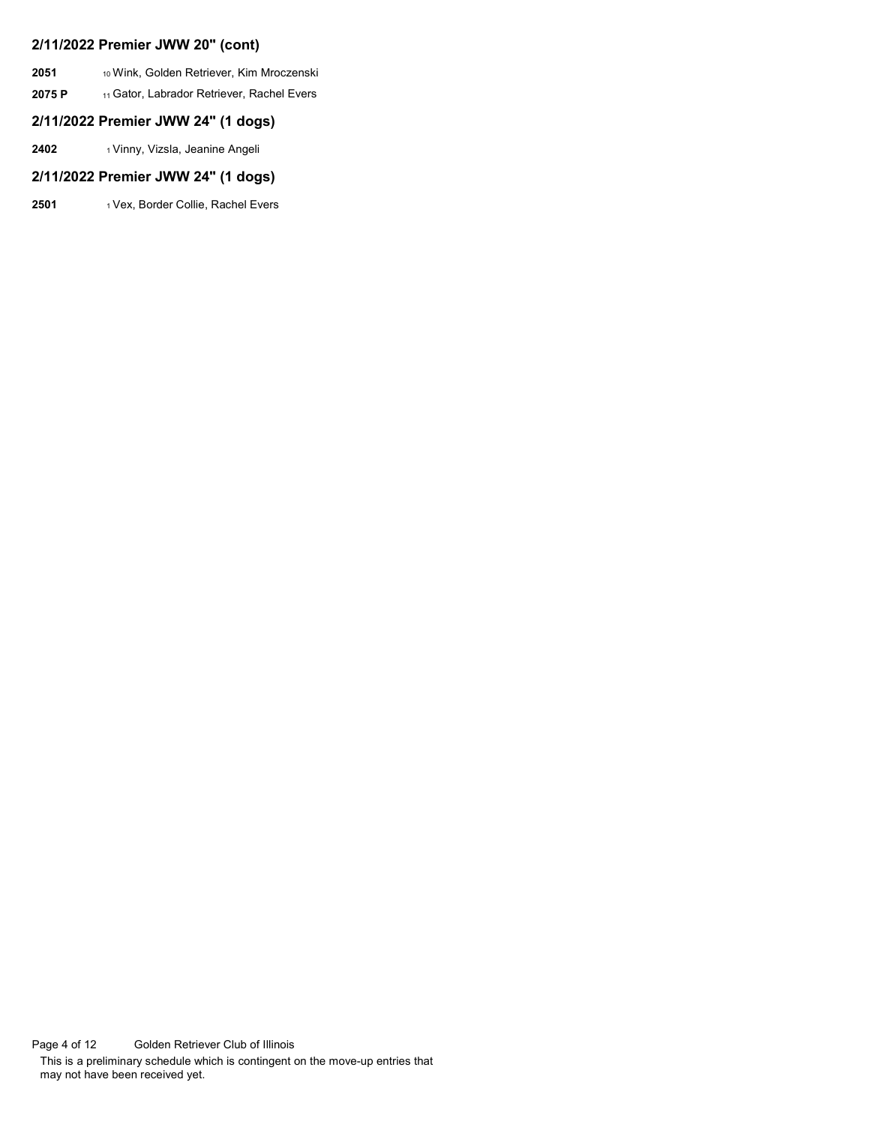## 2/11/2022 Premier JWW 20" (cont)

- 2051 10 Wink, Golden Retriever, Kim Mroczenski
- 2075 P 11 Gator, Labrador Retriever, Rachel Evers

# 2/11/2022 Premier JWW 24" (1 dogs)

2402 1 Vinny, Vizsla, Jeanine Angeli

## 2/11/2022 Premier JWW 24" (1 dogs)

2501 1 Vex, Border Collie, Rachel Evers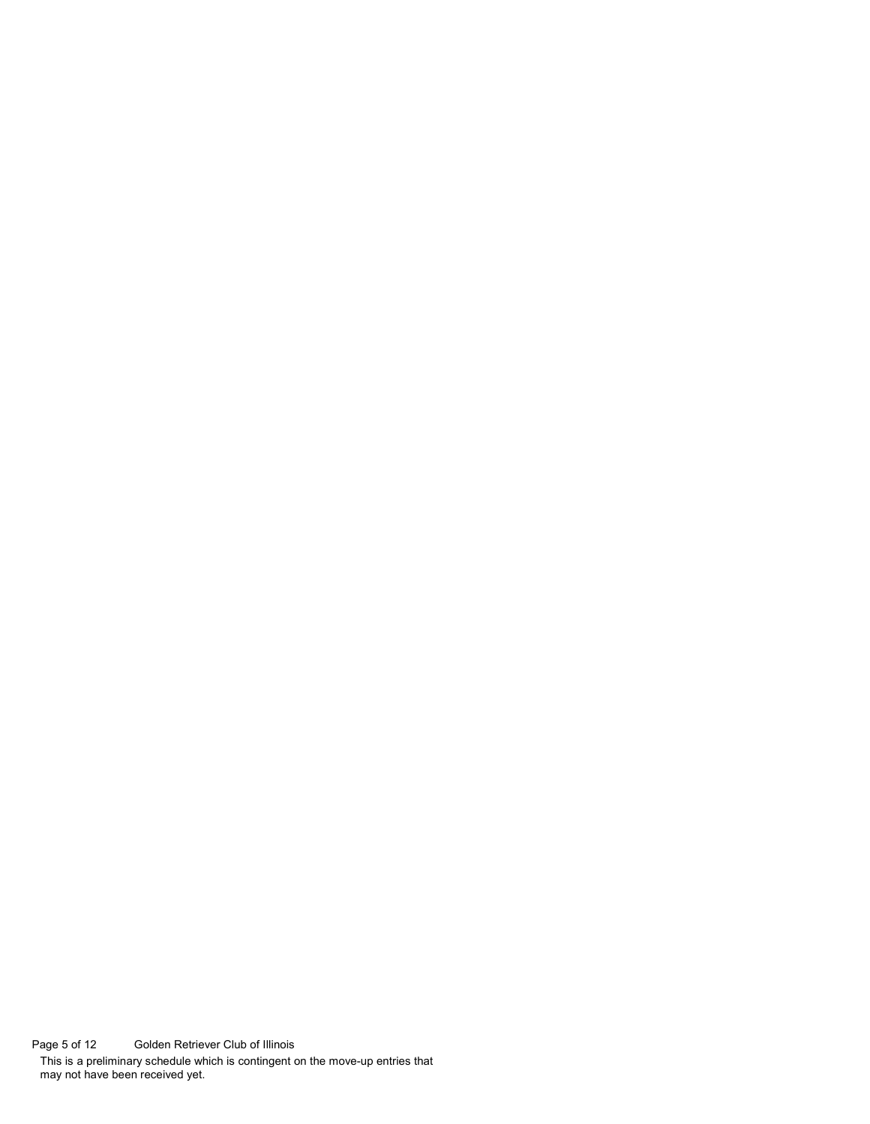Page 5 of 12 Golden Retriever Club of Illinois<br>This is a preliminary schedule which is contingent on the move-up entries that<br>may not have been received yet. This is a preliminary schedule which is contingent on the move-up entries that may not have been received yet.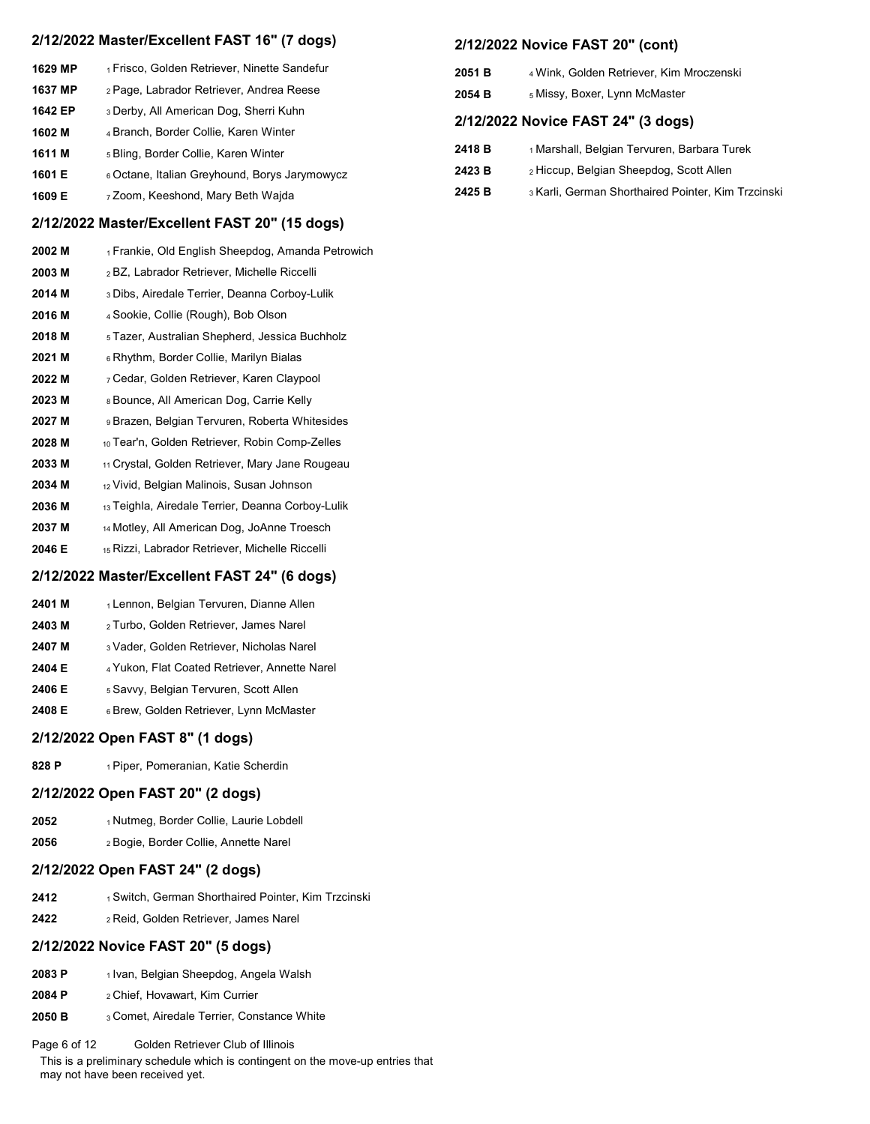### 2/12/2022 Master/Excellent FAST 16" (7 dogs)

| <sub>1</sub> Frisco, Golden Retriever, Ninette Sandefur<br>1629 MP<br>4 Wink, Golden Retriever, Kim Mroczenski<br>2051 B<br>2 Page, Labrador Retriever, Andrea Reese<br>1637 MP<br>5 Missy, Boxer, Lynn McMaster<br>2054 B<br>3 Derby, All American Dog, Sherri Kuhn<br>1642 EP<br>2/12/2022 Novice FAST 24" (3 dogs)<br>1602 M<br>4 Branch, Border Collie, Karen Winter<br>1 Marshall, Belgian Tervuren, Barbara Turek<br>2418 B<br>1611 M<br>5 Bling, Border Collie, Karen Winter<br>2 Hiccup, Belgian Sheepdog, Scott Allen<br>2423 B<br>1601 E<br>6 Octane, Italian Greyhound, Borys Jarymowycz<br>3 Karli, German Shorthaired Pointer, Kim Trzcinski<br>2425 B<br>1609 E<br>7 Zoom, Keeshond, Mary Beth Wajda |  |  |
|--------------------------------------------------------------------------------------------------------------------------------------------------------------------------------------------------------------------------------------------------------------------------------------------------------------------------------------------------------------------------------------------------------------------------------------------------------------------------------------------------------------------------------------------------------------------------------------------------------------------------------------------------------------------------------------------------------------------|--|--|
|                                                                                                                                                                                                                                                                                                                                                                                                                                                                                                                                                                                                                                                                                                                    |  |  |
|                                                                                                                                                                                                                                                                                                                                                                                                                                                                                                                                                                                                                                                                                                                    |  |  |
|                                                                                                                                                                                                                                                                                                                                                                                                                                                                                                                                                                                                                                                                                                                    |  |  |
|                                                                                                                                                                                                                                                                                                                                                                                                                                                                                                                                                                                                                                                                                                                    |  |  |
|                                                                                                                                                                                                                                                                                                                                                                                                                                                                                                                                                                                                                                                                                                                    |  |  |
|                                                                                                                                                                                                                                                                                                                                                                                                                                                                                                                                                                                                                                                                                                                    |  |  |
|                                                                                                                                                                                                                                                                                                                                                                                                                                                                                                                                                                                                                                                                                                                    |  |  |

2/12/2022 Novice FAST 20" (cont)

## 2/12/2022 Master/Excellent FAST 20" (15 dogs)

| 2002 M | <sub>1</sub> Frankie, Old English Sheepdog, Amanda Petrowich |
|--------|--------------------------------------------------------------|
| 2003 M | 2 BZ, Labrador Retriever, Michelle Riccelli                  |
| 2014 M | 3 Dibs, Airedale Terrier, Deanna Corboy-Lulik                |
| 2016 M | 4 Sookie, Collie (Rough), Bob Olson                          |
| 2018 M | 5 Tazer, Australian Shepherd, Jessica Buchholz               |
| 2021 M | 6 Rhythm, Border Collie, Marilyn Bialas                      |
| 2022 M | <sub>7</sub> Cedar, Golden Retriever, Karen Claypool         |
| 2023 M | 8 Bounce, All American Dog, Carrie Kelly                     |
| 2027 M | 9 Brazen, Belgian Tervuren, Roberta Whitesides               |
| 2028 M | 10 Tear'n, Golden Retriever, Robin Comp-Zelles               |
| 2033 M | <sub>11</sub> Crystal, Golden Retriever, Mary Jane Rougeau   |
| 2034 M | 12 Vivid, Belgian Malinois, Susan Johnson                    |
| 2036 M | 13 Teighla, Airedale Terrier, Deanna Corboy-Lulik            |
| 2037 M | 14 Motley, All American Dog, JoAnne Troesch                  |

2046 E <sup>15</sup> Rizzi, Labrador Retriever, Michelle Riccelli

### 2/12/2022 Master/Excellent FAST 24" (6 dogs)

- 2401 M 1 Lennon, Belgian Tervuren, Dianne Allen
- 2403 M 2 Turbo, Golden Retriever, James Narel
- 2407 M 3 Vader, Golden Retriever, Nicholas Narel
- 2404 E 4 Yukon, Flat Coated Retriever, Annette Narel
- 2406 E 5 Savvy, Belgian Tervuren, Scott Allen
- 2408 E 6 Brew, Golden Retriever, Lynn McMaster

#### 2/12/2022 Open FAST 8" (1 dogs)

828 P 1 Piper, Pomeranian, Katie Scherdin

### 2/12/2022 Open FAST 20" (2 dogs)

- 2052 1 Nutmeg, Border Collie, Laurie Lobdell
- 2056 <sup>2</sup> Bogie, Border Collie, Annette Narel

### 2/12/2022 Open FAST 24" (2 dogs)

- 2412 1 Switch, German Shorthaired Pointer, Kim Trzcinski
- 2422 2 Reid, Golden Retriever, James Narel

### 2/12/2022 Novice FAST 20" (5 dogs)

- 2083 P 1 Ivan, Belgian Sheepdog, Angela Walsh
- 2084 P 2 Chief, Hovawart, Kim Currier
- 2050 B <sup>3</sup> Comet, Airedale Terrier, Constance White

2012 Compare The Savy, Belgian Tervuren, Scott Allen<br>
2406 E sSavy, Belgian Tervuren, Scott Allen<br>
2/12/2022 Open FAST 8" (1 dogs)<br>
828 P iPiper, Pomeranian, Katie Scherdin<br>
2/12/2022 Open FAST 20" (2 dogs)<br>
2052 iNutring This is a preliminary schedule which is contingent on the move-up entries that may not have been received yet.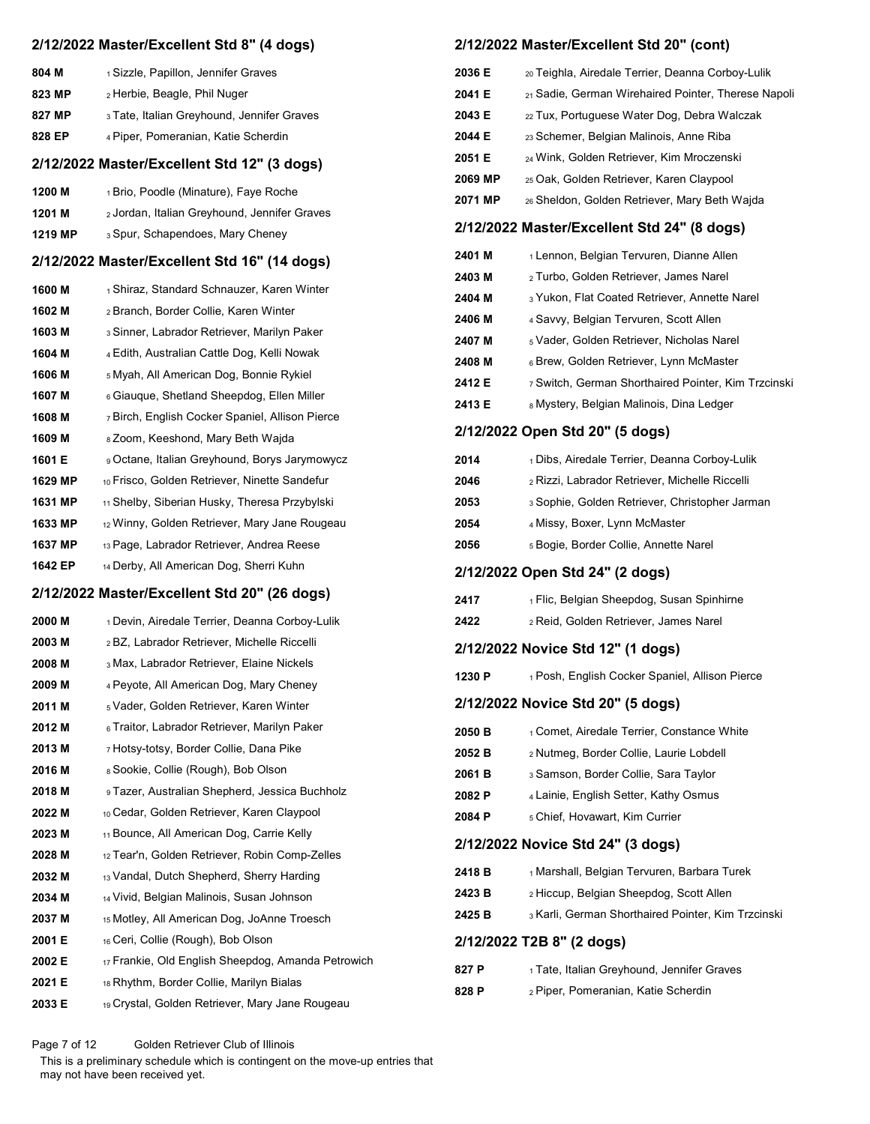# 2/12/2022 Master/Excellent Std 8" (4 dogs) 804 M 1 Sizzle, Papillon, Jennifer Graves 823 MP 2 Herbie, Beagle, Phil Nuger 827 MP 3 Tate, Italian Greyhound, Jennifer Graves 828 EP 4 Piper, Pomeranian, Katie Scherdin 2/12/2022 Master/Excellent Std 12" (3 dogs) 1200 M 1 Brio, Poodle (Minature), Faye Roche 1201 M 2 Jordan, Italian Greyhound, Jennifer Graves 1219 MP 3 Spur, Schapendoes, Mary Cheney 2/12/2022 Master/Excellent Std 16" (14 dogs) 1600 M 1 Shiraz, Standard Schnauzer, Karen Winter 1602 M 2 Branch, Border Collie, Karen Winter 1603 M 3 Sinner, Labrador Retriever, Marilyn Paker 1604 M 4 Edith, Australian Cattle Dog, Kelli Nowak 1606 M 5 Myah, All American Dog, Bonnie Rykiel 1607 M 6 Giauque, Shetland Sheepdog, Ellen Miller 1608 M 7 Birch, English Cocker Spaniel, Allison Pierce 1609 M 8 Zoom, Keeshond, Mary Beth Wajda 1601 E 9 Octane, Italian Greyhound, Borys Jarymowycz 1629 MP 10 Frisco, Golden Retriever, Ninette Sandefur 1631 MP 11 Shelby, Siberian Husky, Theresa Przybylski 1633 MP 12 Winny, Golden Retriever, Mary Jane Rougeau 1637 MP 13 Page, Labrador Retriever, Andrea Reese 1642 EP 14 Derby, All American Dog, Sherri Kuhn 2/12/2022 Master/Excellent Std 20" (26 dogs) 2000 M 1 Devin, Airedale Terrier, Deanna Corboy-Lulik 2003 M <sup>2</sup> BZ, Labrador Retriever, Michelle Riccelli 2008 M <sub>3</sub> Max, Labrador Retriever, Elaine Nickels 2009 M 4 Peyote, All American Dog, Mary Cheney 2011 M 5 Vader, Golden Retriever, Karen Winter  $2012$  M  $6$  Traitor, Labrador Retriever, Marilyn Paker 2013 M 7 Hotsy-totsy, Border Collie, Dana Pike 2016 M 8 Sookie, Collie (Rough), Bob Olson 2018 M 9 Tazer, Australian Shepherd, Jessica Buchholz 2022 M 10 Cedar, Golden Retriever, Karen Claypool 2023 M 11 Bounce, All American Dog, Carrie Kelly 2028 M 12 Tear'n, Golden Retriever, Robin Comp-Zelles 2032 M 13 Vandal, Dutch Shepherd, Sherry Harding 2034 M 14 Vivid, Belgian Malinois, Susan Johnson 2037 M 15 Motley, All American Dog, JoAnne Troesch 2001 E 16 Ceri, Collie (Rough), Bob Olson 2002 E 17 Frankie, Old English Sheepdog, Amanda Petrowich **2021 E** 18 Rhythm, Border Collie, Marilyn Bialas<br> **828 P** 2009 M<br>
2011 M a Feyote, All American Dog, Mary Cheney<br>
2011 M s<sup>V</sup>ader, Golden Retriever, Karen Winter<br>
2012 M s<sup>Traditor, Lebrador Retriever, Karen Winter<br>
2012 M a Traditor, Lebrador Retriever, Maring Taker<br>
2013 M sSo</sup>

# 2033 E 19 Crystal, Golden Retriever, Mary Jane Rougeau

This is a preliminary schedule which is contingent on the move-up entries that may not have been received yet.

### 2/12/2022 Master/Excellent Std 20" (cont)

| 2036 E  | 20 Teighla, Airedale Terrier, Deanna Corboy-Lulik      |
|---------|--------------------------------------------------------|
| 2041 E  | 21 Sadie, German Wirehaired Pointer, Therese Napoli    |
| 2043 E  | <sub>22</sub> Tux, Portuguese Water Dog, Debra Walczak |
| 2044 E  | 23 Schemer, Belgian Malinois, Anne Riba                |
| 2051 E  | 24 Wink, Golden Retriever, Kim Mroczenski              |
| 2069 MP | 25 Oak, Golden Retriever, Karen Claypool               |
| 2071 MP | 26 Sheldon, Golden Retriever, Mary Beth Wajda          |
|         | 2/12/2022 Master/Excellent Std 24" (8 dogs)            |
| 2401 M  | 1 Lennon, Belgian Tervuren, Dianne Allen               |
| 2403 M  | 2 Turbo, Golden Retriever, James Narel                 |
| 2404 M  | 3 Yukon, Flat Coated Retriever, Annette Narel          |
| 2406 M  | 4 Savvy, Belgian Tervuren, Scott Allen                 |
| 2407 M  | 5 Vader, Golden Retriever, Nicholas Narel              |
| 2408 M  | 6 Brew, Golden Retriever, Lynn McMaster                |
| 2412 E  | 7 Switch, German Shorthaired Pointer, Kim Trzcinski    |
| 2413 E  | 8 Mystery, Belgian Malinois, Dina Ledger               |
|         | 2/12/2022 Open Std 20" (5 dogs)                        |
| 2014    | 1 Dibs, Airedale Terrier, Deanna Corboy-Lulik          |
| 2046    | 2 Rizzi, Labrador Retriever, Michelle Riccelli         |
| 2053    | 3 Sophie, Golden Retriever, Christopher Jarman         |
| 2054    | 4 Missy, Boxer, Lynn McMaster                          |
| 2056    | 5 Bogie, Border Collie, Annette Narel                  |
|         | 2/12/2022 Open Std 24" (2 dogs)                        |
| 2417    | 1 Flic, Belgian Sheepdog, Susan Spinhirne              |
| 2422    | 2 Reid, Golden Retriever, James Narel                  |
|         | 2/12/2022 Novice Std 12" (1 dogs)                      |
| 1230 P  | 1 Posh, English Cocker Spaniel, Allison Pierce         |
|         | 2/12/2022 Novice Std 20" (5 dogs)                      |
| 2050 B  | 1 Comet, Airedale Terrier, Constance White             |
| 2052 B  | 2 Nutmeg, Border Collie, Laurie Lobdell                |
| 2061 B  | 3 Samson, Border Collie, Sara Taylor                   |
| 2082 P  | 4 Lainie, English Setter, Kathy Osmus                  |
| 2084 P  | 5 Chief, Hovawart, Kim Currier                         |
|         | 2/12/2022 Novice Std 24" (3 dogs)                      |
| 2418 B  | 1 Marshall, Belgian Tervuren, Barbara Turek            |
| 2423 B  | 2 Hiccup, Belgian Sheepdog, Scott Allen                |
| 2425 B  | 3 Karli, German Shorthaired Pointer, Kim Trzcinski     |
|         | 2/12/2022 T2B 8" (2 dogs)                              |
| 827 P   | 1 Tate, Italian Greyhound, Jennifer Graves             |
|         |                                                        |

2 Piper, Pomeranian, Katie Scherdin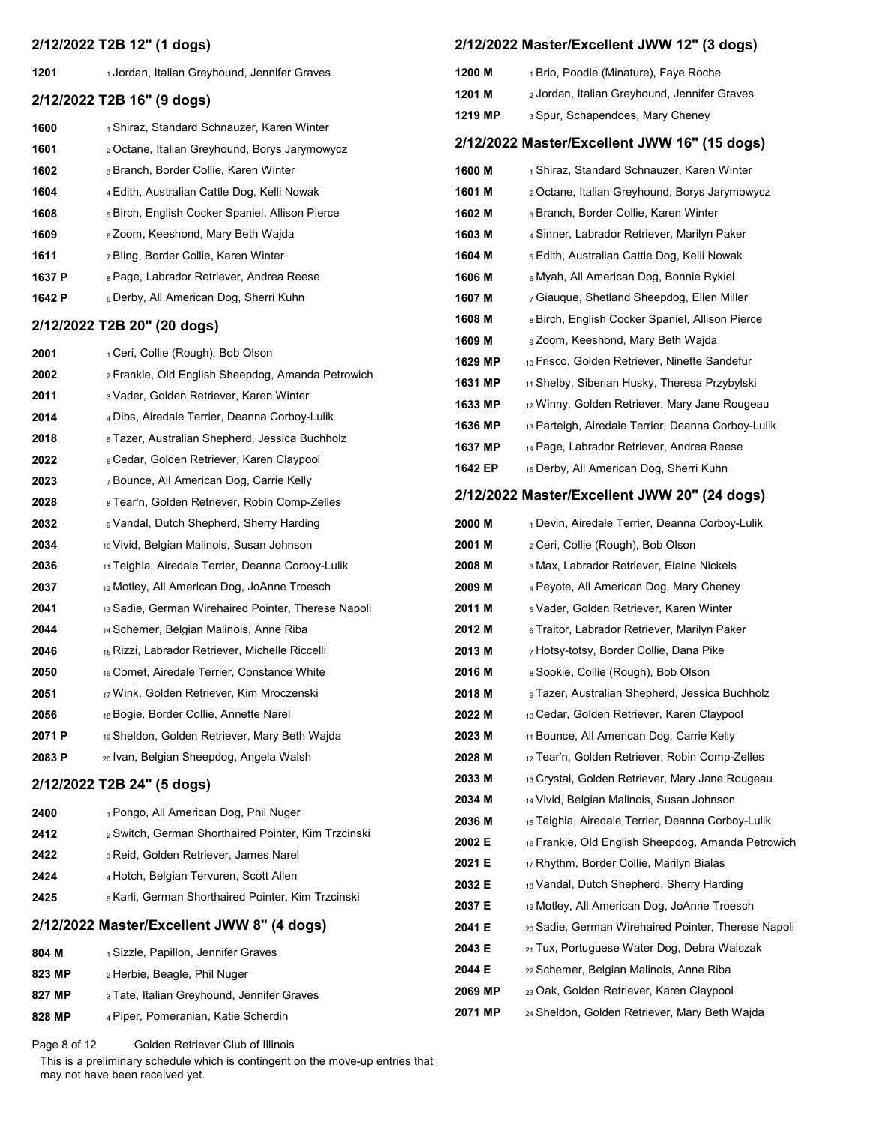# 2/12/2022 T2B 12" (1 dogs)

1201 10rdan, Italian Greyhound, Jennifer Graves

# 2/12/2022 T2B 16" (9 dogs)

| 1600   | 1 Shiraz, Standard Schnauzer, Karen Winter      | 14. I J IVIF | 3 OPUL, OUID         |
|--------|-------------------------------------------------|--------------|----------------------|
| 1601   | 2 Octane, Italian Greyhound, Borys Jarymowycz   |              | 2/12/2022 Master/Exo |
|        |                                                 |              |                      |
| 1602   | 3 Branch, Border Collie, Karen Winter           | 1600 M       | 1 Shiraz, Sta        |
| 1604   | 4 Edith, Australian Cattle Dog, Kelli Nowak     | 1601 M       | 2 Octane, Ita        |
| 1608   | 5 Birch, English Cocker Spaniel, Allison Pierce | 1602 M       | 3 Branch, Bo         |
| 1609   | 6 Zoom, Keeshond, Mary Beth Wajda               | 1603 M       | 4 Sinner, Lab        |
| 1611   | 7 Bling, Border Collie, Karen Winter            | 1604 M       | 5 Edith, Aust        |
| 1637 P | 8 Page, Labrador Retriever, Andrea Reese        | 1606 M       | 6 Myah, All A        |
| 1642 P | 9 Derby, All American Dog, Sherri Kuhn          | 1607 M       | 7 Giaugue, S         |

## 2/12/2022 T2B 20" (20 dogs)

| 2001         | 1 Ceri, Collie (Rough), Bob Olson                                                                                                                      | 1629 MP | <sub>10</sub> Frisco, Golden Re |
|--------------|--------------------------------------------------------------------------------------------------------------------------------------------------------|---------|---------------------------------|
| 2002         | 2 Frankie, Old English Sheepdog, Amanda Petrowich                                                                                                      | 1631 MP | 11 Shelby, Siberian I           |
| 2011         | <sub>3</sub> Vader, Golden Retriever, Karen Winter                                                                                                     | 1633 MP | 12 Winny, Golden Re             |
| 2014         | 4 Dibs, Airedale Terrier, Deanna Corboy-Lulik                                                                                                          | 1636 MP | 13 Parteigh, Airedale           |
| 2018         | 5 Tazer, Australian Shepherd, Jessica Buchholz                                                                                                         | 1637 MP | 14 Page, Labrador R             |
| 2022         | 6 Cedar, Golden Retriever, Karen Claypool                                                                                                              |         | 15 Derby, All America           |
| 2023         | <sub>7</sub> Bounce, All American Dog, Carrie Kelly                                                                                                    | 1642 EP |                                 |
| 2028         | 8 Tear'n, Golden Retriever, Robin Comp-Zelles                                                                                                          |         | 2/12/2022 Master/Exceller       |
| 2032         | 9 Vandal, Dutch Shepherd, Sherry Harding                                                                                                               | 2000 M  | 1 Devin, Airedale Te            |
| 2034         | 10 Vivid, Belgian Malinois, Susan Johnson                                                                                                              | 2001 M  | 2 Ceri, Collie (Roug            |
| 2036         | 11 Teighla, Airedale Terrier, Deanna Corboy-Lulik                                                                                                      | 2008 M  | з Мах, Labrador Re              |
| 2037         | 12 Motley, All American Dog, JoAnne Troesch                                                                                                            | 2009 M  | 4 Peyote, All Amerio            |
| 2041         | 13 Sadie, German Wirehaired Pointer, Therese Napoli                                                                                                    | 2011 M  | 5 Vader, Golden Re              |
| 2044         | 14 Schemer, Belgian Malinois, Anne Riba                                                                                                                | 2012 M  | 6 Traitor, Labrador I           |
| 2046         | 15 Rizzi, Labrador Retriever, Michelle Riccelli                                                                                                        | 2013 M  | 7 Hotsy-totsy, Bord             |
| 2050         | 16 Comet, Airedale Terrier, Constance White                                                                                                            | 2016 M  | 8 Sookie, Collie (Ro            |
| 2051         | 17 Wink, Golden Retriever, Kim Mroczenski                                                                                                              | 2018 M  | 9 Tazer, Australian             |
| 2056         | 18 Bogie, Border Collie, Annette Narel                                                                                                                 | 2022 M  | 10 Cedar, Golden Re             |
| 2071 P       | 19 Sheldon, Golden Retriever, Mary Beth Wajda                                                                                                          | 2023 M  | 11 Bounce, All Ameri            |
| 2083 P       | 20 Ivan, Belgian Sheepdog, Angela Walsh                                                                                                                | 2028 M  | 12 Tear'n, Golden Re            |
|              | 2/12/2022 T2B 24" (5 dogs)                                                                                                                             | 2033 M  | 13 Crystal, Golden R            |
|              |                                                                                                                                                        | 2034 M  | 14 Vivid, Belgian Mal           |
| 2400         | 1 Pongo, All American Dog, Phil Nuger                                                                                                                  | 2036 M  | 15 Teighla, Airedale            |
| 2412         | 2 Switch, German Shorthaired Pointer, Kim Trzcinski                                                                                                    | 2002 E  | 16 Frankie, Old Engli           |
| 2422         | 3 Reid, Golden Retriever, James Narel                                                                                                                  | 2021 E  | 17 Rhythm, Border C             |
| 2424         | 4 Hotch, Belgian Tervuren, Scott Allen                                                                                                                 | 2032 E  | 18 Vandal, Dutch Sh             |
| 2425         | 5 Karli, German Shorthaired Pointer, Kim Trzcinski                                                                                                     | 2037 E  | 19 Motley, All Americ           |
|              | 2/12/2022 Master/Excellent JWW 8" (4 dogs)                                                                                                             | 2041 E  | 20 Sadie, German W              |
| 804 M        | 1 Sizzle, Papillon, Jennifer Graves                                                                                                                    | 2043 E  | 21 Tux, Portuguese \            |
| 823 MP       | 2 Herbie, Beagle, Phil Nuger                                                                                                                           | 2044 E  | <sub>22</sub> Schemer, Belgian  |
| 827 MP       | 3 Tate, Italian Greyhound, Jennifer Graves                                                                                                             | 2069 MP | 23 Oak, Golden Retri            |
| 828 MP       | 4 Piper, Pomeranian, Katie Scherdin                                                                                                                    | 2071 MP | 24 Sheldon, Golden I            |
| Page 8 of 12 | Golden Retriever Club of Illinois<br>This is a preliminary schedule which is contingent on the move-up entries that<br>may not have been received yet. |         |                                 |
|              |                                                                                                                                                        |         |                                 |
|              |                                                                                                                                                        |         |                                 |

# 2/12/2022 Master/Excellent JWW 8" (4 dogs)

| 804 M  | <sub>1</sub> Sizzle, Papillon, Jennifer Graves        | 2043 E  | <sub>21</sub> Tux, Portuguese Water Dog, Debra Walczak   |
|--------|-------------------------------------------------------|---------|----------------------------------------------------------|
| 823 MP | 2 Herbie, Beagle, Phil Nuger                          | 2044 E  | <sub>22</sub> Schemer, Belgian Malinois, Anne Riba       |
| 827 MP | <sub>3</sub> Tate, Italian Greyhound, Jennifer Graves | 2069 MP | <sub>23</sub> Oak, Golden Retriever, Karen Claypool      |
| 828 MP | 4 Piper, Pomeranian, Katie Scherdin                   | 2071 MP | <sub>24</sub> Sheldon, Golden Retriever, Mary Beth Wajda |

## 2/12/2022 Master/Excellent JWW 12" (3 dogs)

| 1200 M  | 1 Brio, Poodle (Minature), Faye Roche                          |  |  |  |
|---------|----------------------------------------------------------------|--|--|--|
| 1201 M  | 2 Jordan, Italian Greyhound, Jennifer Graves                   |  |  |  |
| 1219 MP | 3 Spur, Schapendoes, Mary Cheney                               |  |  |  |
|         | 2/12/2022 Master/Excellent JWW 16" (15 dogs)                   |  |  |  |
| 1600 M  | 1 Shiraz, Standard Schnauzer, Karen Winter                     |  |  |  |
| 1601 M  | 2 Octane, Italian Greyhound, Borys Jarymowycz                  |  |  |  |
| 1602 M  | 3 Branch, Border Collie, Karen Winter                          |  |  |  |
| 1603 M  | 4 Sinner, Labrador Retriever, Marilyn Paker                    |  |  |  |
| 1604 M  | 5 Edith, Australian Cattle Dog, Kelli Nowak                    |  |  |  |
| 1606 M  | 6 Myah, All American Dog, Bonnie Rykiel                        |  |  |  |
| 1607 M  | 7 Giauque, Shetland Sheepdog, Ellen Miller                     |  |  |  |
| 1608 M  | 8 Birch, English Cocker Spaniel, Allison Pierce                |  |  |  |
| 1609 M  | 9 Zoom, Keeshond, Mary Beth Wajda                              |  |  |  |
| 1629 MP | 10 Frisco, Golden Retriever, Ninette Sandefur                  |  |  |  |
| 1631 MP | 11 Shelby, Siberian Husky, Theresa Przybylski                  |  |  |  |
| 1633 MP | 12 Winny, Golden Retriever, Mary Jane Rougeau                  |  |  |  |
| 1636 MP | 13 Parteigh, Airedale Terrier, Deanna Corboy-Lulik             |  |  |  |
| 1637 MP | 14 Page, Labrador Retriever, Andrea Reese                      |  |  |  |
| 1642 EP | 15 Derby, All American Dog, Sherri Kuhn                        |  |  |  |
|         | 2/12/2022 Master/Excellent JWW 20" (24 dogs)                   |  |  |  |
| 2000 M  | 1 Devin, Airedale Terrier, Deanna Corboy-Lulik                 |  |  |  |
| 2001 M  | 2 Ceri, Collie (Rough), Bob Olson                              |  |  |  |
| 2008 M  | з Max, Labrador Retriever, Elaine Nickels                      |  |  |  |
| 2009 M  | 4 Peyote, All American Dog, Mary Cheney                        |  |  |  |
| 2011 M  | <sub>5</sub> Vader, Golden Retriever, Karen Winter             |  |  |  |
| 2012 M  | 6 Traitor, Labrador Retriever, Marilyn Paker                   |  |  |  |
| 2013 M  | 7 Hotsy-totsy, Border Collie, Dana Pike                        |  |  |  |
| 2016 M  | 8 Sookie, Collie (Rough), Bob Olson                            |  |  |  |
| 2018 M  | 9 Tazer, Australian Shepherd, Jessica Buchholz                 |  |  |  |
| 2022 M  | 10 Cedar, Golden Retriever, Karen Claypool                     |  |  |  |
| 2023 M  | 11 Bounce, All American Dog, Carrie Kelly                      |  |  |  |
| 2028 M  | 12 Tear'n, Golden Retriever, Robin Comp-Zelles                 |  |  |  |
| 2033 M  | 13 Crystal, Golden Retriever, Mary Jane Rougeau                |  |  |  |
| 2034 M  | 14 Vivid, Belgian Malinois, Susan Johnson                      |  |  |  |
| 2036 M  | 15 Teighla, Airedale Terrier, Deanna Corboy-Lulik              |  |  |  |
| 2002 E  | 16 Frankie, Old English Sheepdog, Amanda Petrowich             |  |  |  |
| 2021 E  | 17 Rhythm, Border Collie, Marilyn Bialas                       |  |  |  |
| 2032 E  | 18 Vandal, Dutch Shepherd, Sherry Harding                      |  |  |  |
| 2037 E  | 19 Motley, All American Dog, JoAnne Troesch                    |  |  |  |
| 2041 E  | <sup>20</sup> Sadie, German Wirehaired Pointer, Therese Napoli |  |  |  |
| 2043 E  | 21 Tux, Portuguese Water Dog, Debra Walczak                    |  |  |  |
| 2044 E  | 22 Schemer, Belgian Malinois, Anne Riba                        |  |  |  |
| 2069 MP | 23 Oak, Golden Retriever, Karen Claypool                       |  |  |  |
|         |                                                                |  |  |  |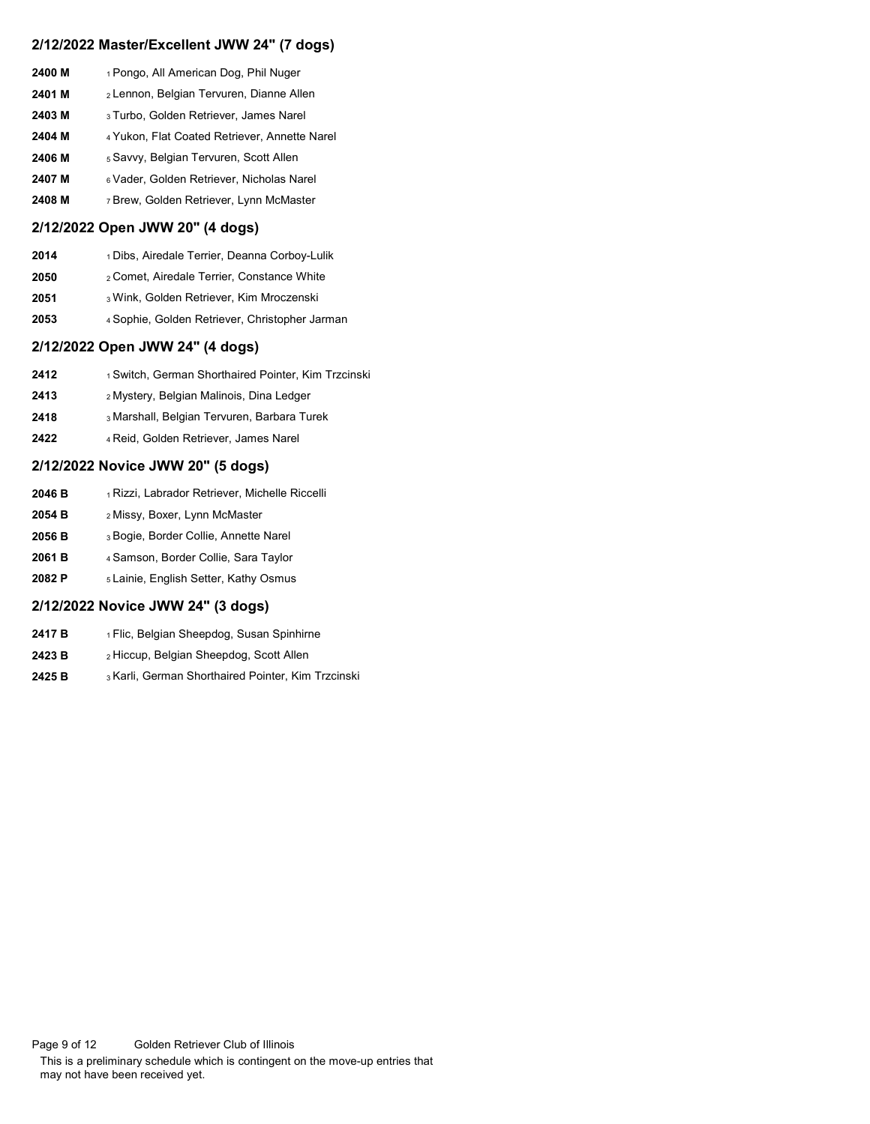### 2/12/2022 Master/Excellent JWW 24" (7 dogs)

- 2400 M 1 Pongo, All American Dog, Phil Nuger
- 2401 M 2 Lennon, Belgian Tervuren, Dianne Allen
- 2403 M <sub>3</sub> Turbo, Golden Retriever, James Narel
- 2404 M 4 Yukon, Flat Coated Retriever, Annette Narel
- 2406 M 5 Savvy, Belgian Tervuren, Scott Allen
- 2407 M 6 Vader, Golden Retriever, Nicholas Narel
- 2408 M 7 Brew, Golden Retriever, Lynn McMaster

### 2/12/2022 Open JWW 20" (4 dogs)

- 2014 1 Dibs, Airedale Terrier, Deanna Corboy-Lulik
- 2050 <sup>2</sup> Comet, Airedale Terrier, Constance White
- 2051 <sup>3</sup> Wink, Golden Retriever, Kim Mroczenski
- 2053 <sup>4</sup> Sophie, Golden Retriever, Christopher Jarman

## 2/12/2022 Open JWW 24" (4 dogs)

- 2412 1 Switch, German Shorthaired Pointer, Kim Trzcinski
- 2413 <sup>2</sup> Mystery, Belgian Malinois, Dina Ledger
- 2418 3 Marshall, Belgian Tervuren, Barbara Turek
- 2422 4 Reid, Golden Retriever, James Narel

### 2/12/2022 Novice JWW 20" (5 dogs)

- 2046 B 1 Rizzi, Labrador Retriever, Michelle Riccelli
- 2054 B 2 Missy, Boxer, Lynn McMaster
- 2056 B 3 Bogie, Border Collie, Annette Narel
- 2061 B 4 Samson, Border Collie, Sara Taylor
- 2082 P 5 Lainie, English Setter, Kathy Osmus

### 2/12/2022 Novice JWW 24" (3 dogs)

- 2417 B 1 Flic, Belgian Sheepdog, Susan Spinhirne
- 2423 B 2 Hiccup, Belgian Sheepdog, Scott Allen
- 2425 B 3 Karli, German Shorthaired Pointer, Kim Trzcinski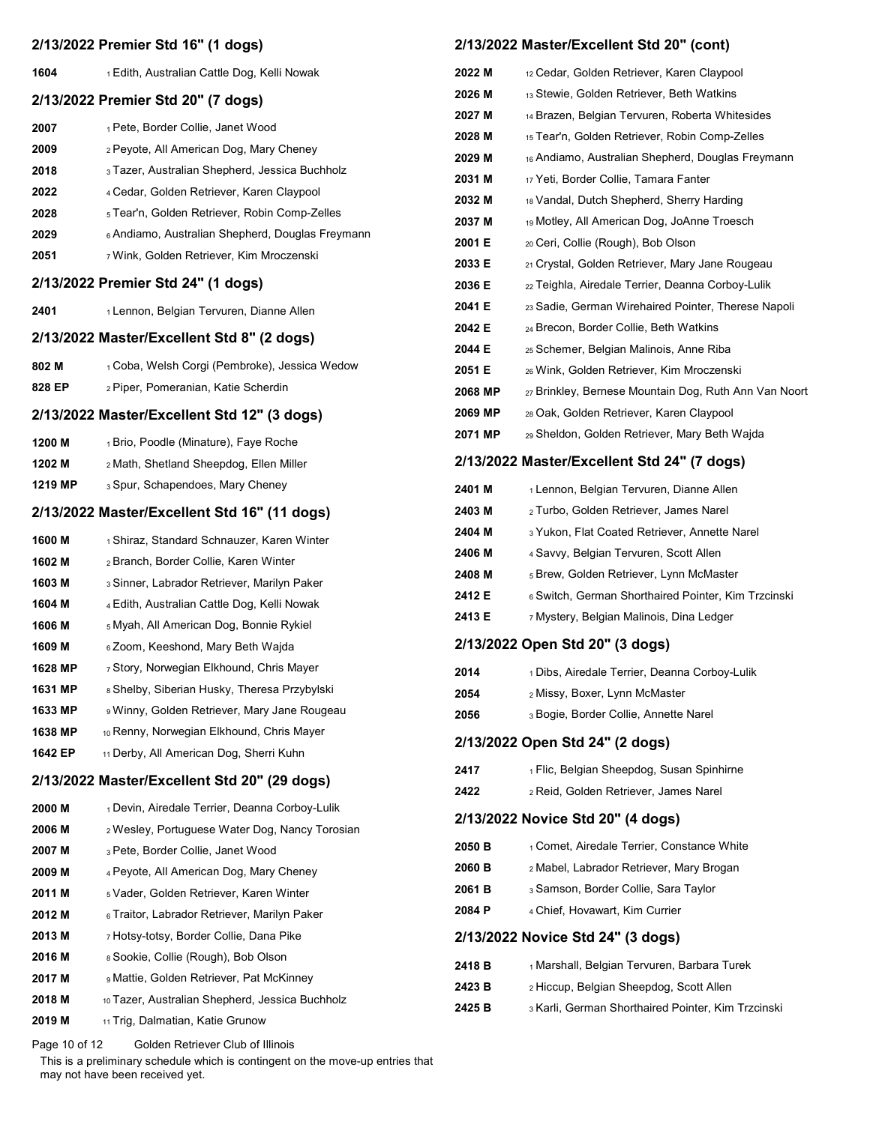|                  | 2/13/2022 Premier Std 16" (1 dogs)                                               |         | 2/13/2022 Master/Excellent Std 20" (cont)                    |
|------------------|----------------------------------------------------------------------------------|---------|--------------------------------------------------------------|
| 1604             | 1 Edith, Australian Cattle Dog, Kelli Nowak                                      | 2022 M  | 12 Cedar, Golden Retriever, Karen Claypool                   |
|                  | 2/13/2022 Premier Std 20" (7 dogs)                                               | 2026 M  | 13 Stewie, Golden Retriever, Beth Watkins                    |
|                  |                                                                                  | 2027 M  | 14 Brazen, Belgian Tervuren, Roberta Whitesides              |
| 2007             | 1 Pete, Border Collie, Janet Wood                                                | 2028 M  | 15 Tear'n, Golden Retriever, Robin Comp-Zelles               |
| 2009             | 2 Peyote, All American Dog, Mary Cheney                                          | 2029 M  | 16 Andiamo, Australian Shepherd, Douglas Freymann            |
| 2018             | 3 Tazer, Australian Shepherd, Jessica Buchholz                                   | 2031 M  | 17 Yeti, Border Collie, Tamara Fanter                        |
| 2022             | 4 Cedar, Golden Retriever, Karen Claypool                                        | 2032 M  | 18 Vandal, Dutch Shepherd, Sherry Harding                    |
| 2028             | 5 Tear'n, Golden Retriever, Robin Comp-Zelles                                    | 2037 M  | 19 Motley, All American Dog, JoAnne Troesch                  |
| 2029             | 6 Andiamo, Australian Shepherd, Douglas Freymann                                 | 2001 E  | 20 Ceri, Collie (Rough), Bob Olson                           |
| 2051             | 7 Wink, Golden Retriever, Kim Mroczenski                                         | 2033 E  | 21 Crystal, Golden Retriever, Mary Jane Rougeau              |
|                  | 2/13/2022 Premier Std 24" (1 dogs)                                               | 2036 E  | <sub>22</sub> Teighla, Airedale Terrier, Deanna Corboy-Lulik |
| 2401             | 1 Lennon, Belgian Tervuren, Dianne Allen                                         | 2041 E  | 23 Sadie, German Wirehaired Pointer, Therese Napoli          |
|                  |                                                                                  | 2042 E  | 24 Brecon, Border Collie, Beth Watkins                       |
|                  | 2/13/2022 Master/Excellent Std 8" (2 dogs)                                       | 2044 E  | 25 Schemer, Belgian Malinois, Anne Riba                      |
| 802 M            | 1 Coba, Welsh Corgi (Pembroke), Jessica Wedow                                    | 2051 E  | 26 Wink, Golden Retriever, Kim Mroczenski                    |
| 828 EP           | 2 Piper, Pomeranian, Katie Scherdin                                              | 2068 MP | 27 Brinkley, Bernese Mountain Dog, Ruth Ann Van Noort        |
|                  | 2/13/2022 Master/Excellent Std 12" (3 dogs)                                      | 2069 MP | 28 Oak, Golden Retriever, Karen Claypool                     |
|                  |                                                                                  | 2071 MP | 29 Sheldon, Golden Retriever, Mary Beth Wajda                |
| 1200 M<br>1202 M | 1 Brio, Poodle (Minature), Faye Roche<br>2 Math, Shetland Sheepdog, Ellen Miller |         | 2/13/2022 Master/Excellent Std 24" (7 dogs)                  |
| 1219 MP          | 3 Spur, Schapendoes, Mary Cheney                                                 |         |                                                              |
|                  |                                                                                  | 2401 M  | 1 Lennon, Belgian Tervuren, Dianne Allen                     |
|                  | 2/13/2022 Master/Excellent Std 16" (11 dogs)                                     | 2403 M  | 2 Turbo, Golden Retriever, James Narel                       |
| 1600 M           | 1 Shiraz, Standard Schnauzer, Karen Winter                                       | 2404 M  | 3 Yukon, Flat Coated Retriever, Annette Narel                |
| 1602 M           | 2 Branch, Border Collie, Karen Winter                                            | 2406 M  | 4 Savvy, Belgian Tervuren, Scott Allen                       |
| 1603 M           | 3 Sinner, Labrador Retriever, Marilyn Paker                                      | 2408 M  | 5 Brew, Golden Retriever, Lynn McMaster                      |
| 1604 M           | 4 Edith, Australian Cattle Dog, Kelli Nowak                                      | 2412 E  | 6 Switch, German Shorthaired Pointer, Kim Trzcinski          |
| 1606 M           | 5 Myah, All American Dog, Bonnie Rykiel                                          | 2413 E  | 7 Mystery, Belgian Malinois, Dina Ledger                     |
| 1609 M           | 6 Zoom, Keeshond, Mary Beth Wajda                                                |         | 2/13/2022 Open Std 20" (3 dogs)                              |
| 1628 MP          | <sub>7</sub> Story, Norwegian Elkhound, Chris Mayer                              | 2014    | 1 Dibs, Airedale Terrier, Deanna Corboy-Lulik                |
| 1631 MP          | 8 Shelby, Siberian Husky, Theresa Przybylski                                     | 2054    | 2 Missy, Boxer, Lynn McMaster                                |
| 1633 MP          | 9 Winny, Golden Retriever, Mary Jane Rougeau                                     | 2056    | 3 Bogie, Border Collie, Annette Narel                        |
| 1638 MP          | 10 Renny, Norwegian Elkhound, Chris Mayer                                        |         |                                                              |
| 1642 EP          | 11 Derby, All American Dog, Sherri Kuhn                                          |         | 2/13/2022 Open Std 24" (2 dogs)                              |
|                  | 2/13/2022 Master/Excellent Std 20" (29 dogs)                                     | 2417    | 1 Flic, Belgian Sheepdog, Susan Spinhirne                    |
|                  |                                                                                  | 2422    | 2 Reid, Golden Retriever, James Narel                        |
| 2000 M           | 1 Devin, Airedale Terrier, Deanna Corboy-Lulik                                   |         | 2/13/2022 Novice Std 20" (4 dogs)                            |
| 2006 M           | 2 Wesley, Portuguese Water Dog, Nancy Torosian                                   | 2050 B  | 1 Comet, Airedale Terrier, Constance White                   |
| 2007 M           | 3 Pete, Border Collie, Janet Wood                                                |         |                                                              |
| 2009 M           | 4 Peyote, All American Dog, Mary Cheney                                          | 2060 B  | 2 Mabel, Labrador Retriever, Mary Brogan                     |
| 2011 M           | 5 Vader, Golden Retriever, Karen Winter                                          | 2061 B  | 3 Samson, Border Collie, Sara Taylor                         |
| 2012 M           | 6 Traitor, Labrador Retriever, Marilyn Paker                                     | 2084 P  | 4 Chief, Hovawart, Kim Currier                               |
| 2013 M           | 7 Hotsy-totsy, Border Collie, Dana Pike                                          |         | 2/13/2022 Novice Std 24" (3 dogs)                            |
| 2016 M           | 8 Sookie, Collie (Rough), Bob Olson                                              | 2418 B  | 1 Marshall, Belgian Tervuren, Barbara Turek                  |
| 2017 M           | 9 Mattie, Golden Retriever, Pat McKinney                                         | 2423 B  | 2 Hiccup, Belgian Sheepdog, Scott Allen                      |
|                  | 10 Tazer, Australian Shepherd, Jessica Buchholz                                  | 2425 B  | 3 Karli, German Shorthaired Pointer, Kim Trzcinski           |
| 2018 M           |                                                                                  |         |                                                              |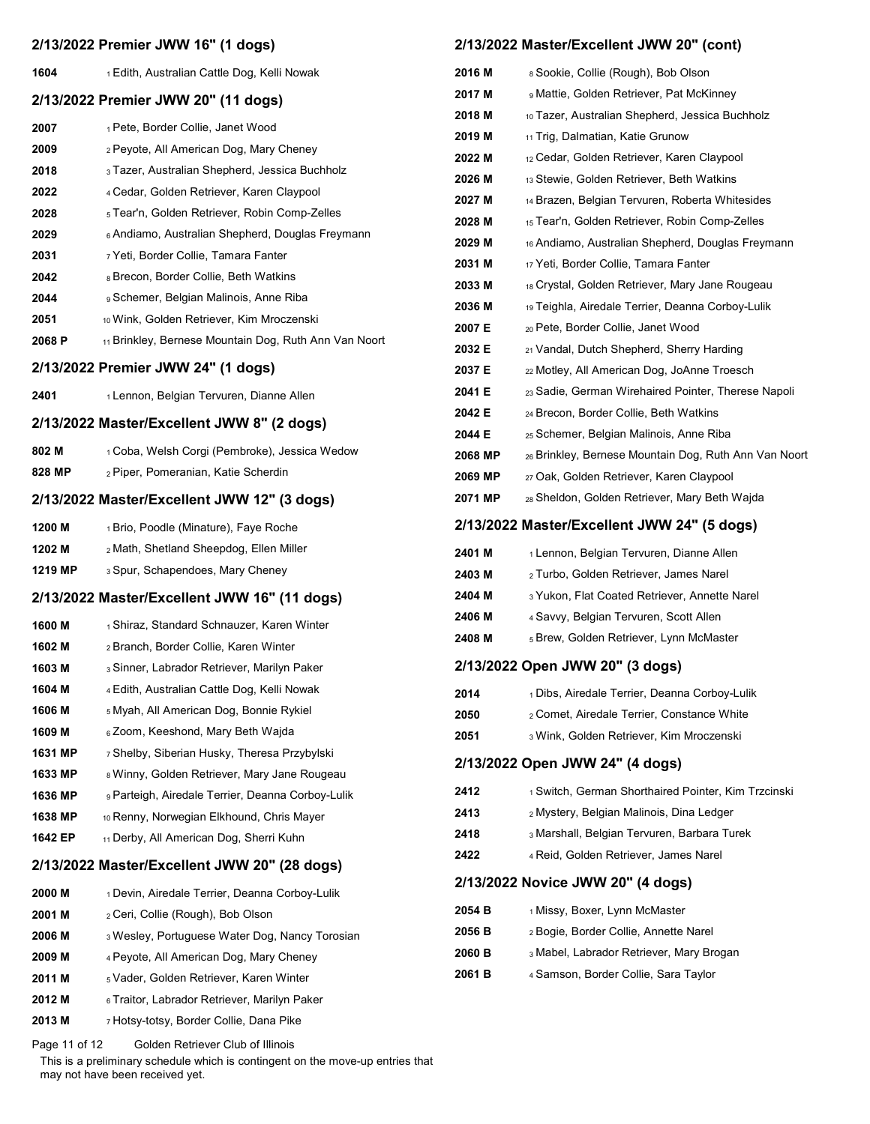|               | 2/13/2022 Premier JWW 16" (1 dogs)                                                                                                                     |         | 2/13/2022 Master/Excellent JWW 20" (cont)                        |
|---------------|--------------------------------------------------------------------------------------------------------------------------------------------------------|---------|------------------------------------------------------------------|
| 1604          | 1 Edith, Australian Cattle Dog, Kelli Nowak                                                                                                            | 2016 M  | 8 Sookie, Collie (Rough), Bob Olson                              |
|               | 2/13/2022 Premier JWW 20" (11 dogs)                                                                                                                    | 2017 M  | 9 Mattie, Golden Retriever, Pat McKinney                         |
|               |                                                                                                                                                        | 2018 M  | 10 Tazer, Australian Shepherd, Jessica Buchholz                  |
| 2007          | 1 Pete, Border Collie, Janet Wood                                                                                                                      | 2019 M  | 11 Trig, Dalmatian, Katie Grunow                                 |
| 2009          | 2 Peyote, All American Dog, Mary Cheney                                                                                                                | 2022 M  | 12 Cedar, Golden Retriever, Karen Claypool                       |
| 2018          | 3 Tazer, Australian Shepherd, Jessica Buchholz                                                                                                         | 2026 M  | 13 Stewie, Golden Retriever, Beth Watkins                        |
| 2022          | 4 Cedar, Golden Retriever, Karen Claypool                                                                                                              | 2027 M  | 14 Brazen, Belgian Tervuren, Roberta Whitesides                  |
| 2028          | 5 Tear'n, Golden Retriever, Robin Comp-Zelles                                                                                                          | 2028 M  | 15 Tear'n, Golden Retriever, Robin Comp-Zelles                   |
| 2029          | 6 Andiamo, Australian Shepherd, Douglas Freymann                                                                                                       | 2029 M  | 16 Andiamo, Australian Shepherd, Douglas Freymann                |
| 2031          | 7 Yeti, Border Collie, Tamara Fanter                                                                                                                   | 2031 M  | 17 Yeti, Border Collie, Tamara Fanter                            |
| 2042          | 8 Brecon, Border Collie, Beth Watkins                                                                                                                  | 2033 M  | 18 Crystal, Golden Retriever, Mary Jane Rougeau                  |
| 2044          | 9 Schemer, Belgian Malinois, Anne Riba                                                                                                                 | 2036 M  | 19 Teighla, Airedale Terrier, Deanna Corboy-Lulik                |
| 2051          | 10 Wink, Golden Retriever, Kim Mroczenski                                                                                                              | 2007 E  | 20 Pete, Border Collie, Janet Wood                               |
| 2068 P        | 11 Brinkley, Bernese Mountain Dog, Ruth Ann Van Noort                                                                                                  | 2032 E  | 21 Vandal, Dutch Shepherd, Sherry Harding                        |
|               | 2/13/2022 Premier JWW 24" (1 dogs)                                                                                                                     | 2037 E  | 22 Motley, All American Dog, JoAnne Troesch                      |
| 2401          | 1 Lennon, Belgian Tervuren, Dianne Allen                                                                                                               | 2041 E  | 23 Sadie, German Wirehaired Pointer, Therese Napoli              |
|               |                                                                                                                                                        | 2042 E  | 24 Brecon, Border Collie, Beth Watkins                           |
|               | 2/13/2022 Master/Excellent JWW 8" (2 dogs)                                                                                                             | 2044 E  | 25 Schemer, Belgian Malinois, Anne Riba                          |
| 802 M         | 1 Coba, Welsh Corgi (Pembroke), Jessica Wedow                                                                                                          | 2068 MP | <sub>26</sub> Brinkley, Bernese Mountain Dog, Ruth Ann Van Noort |
| 828 MP        | 2 Piper, Pomeranian, Katie Scherdin                                                                                                                    | 2069 MP | 27 Oak, Golden Retriever, Karen Claypool                         |
|               | 2/13/2022 Master/Excellent JWW 12" (3 dogs)                                                                                                            | 2071 MP | 28 Sheldon, Golden Retriever, Mary Beth Wajda                    |
| 1200 M        | 1 Brio, Poodle (Minature), Faye Roche                                                                                                                  |         | 2/13/2022 Master/Excellent JWW 24" (5 dogs)                      |
| 1202 M        | 2 Math, Shetland Sheepdog, Ellen Miller                                                                                                                | 2401 M  | 1 Lennon, Belgian Tervuren, Dianne Allen                         |
| 1219 MP       | 3 Spur, Schapendoes, Mary Cheney                                                                                                                       | 2403 M  | 2 Turbo, Golden Retriever, James Narel                           |
|               |                                                                                                                                                        | 2404 M  | 3 Yukon, Flat Coated Retriever, Annette Narel                    |
|               | 2/13/2022 Master/Excellent JWW 16" (11 dogs)                                                                                                           | 2406 M  | 4 Savvy, Belgian Tervuren, Scott Allen                           |
| 1600 M        | <sub>1</sub> Shiraz, Standard Schnauzer, Karen Winter                                                                                                  | 2408 M  | 5 Brew, Golden Retriever, Lynn McMaster                          |
| 1602 M        | 2 Branch, Border Collie, Karen Winter                                                                                                                  |         |                                                                  |
| 1603 M        | 3 Sinner, Labrador Retriever, Marilyn Paker                                                                                                            |         | 2/13/2022 Open JWW 20" (3 dogs)                                  |
| 1604 M        | 4 Edith, Australian Cattle Dog, Kelli Nowak                                                                                                            | 2014    | 1 Dibs, Airedale Terrier, Deanna Corboy-Lulik                    |
| 1606 M        | 5 Myah, All American Dog, Bonnie Rykiel                                                                                                                | 2050    | 2 Comet, Airedale Terrier, Constance White                       |
| 1609 M        | 6 Zoom, Keeshond, Mary Beth Wajda                                                                                                                      | 2051    | 3 Wink, Golden Retriever, Kim Mroczenski                         |
| 1631 MP       | 7 Shelby, Siberian Husky, Theresa Przybylski                                                                                                           |         |                                                                  |
| 1633 MP       | 8 Winny, Golden Retriever, Mary Jane Rougeau                                                                                                           |         | 2/13/2022 Open JWW 24" (4 dogs)                                  |
| 1636 MP       | 9 Parteigh, Airedale Terrier, Deanna Corboy-Lulik                                                                                                      | 2412    | <sub>1</sub> Switch, German Shorthaired Pointer, Kim Trzcinski   |
| 1638 MP       | 10 Renny, Norwegian Elkhound, Chris Mayer                                                                                                              | 2413    | 2 Mystery, Belgian Malinois, Dina Ledger                         |
| 1642 EP       | 11 Derby, All American Dog, Sherri Kuhn                                                                                                                | 2418    | 3 Marshall, Belgian Tervuren, Barbara Turek                      |
|               | 2/13/2022 Master/Excellent JWW 20" (28 dogs)                                                                                                           | 2422    | 4 Reid, Golden Retriever, James Narel                            |
|               |                                                                                                                                                        |         | 2/13/2022 Novice JWW 20" (4 dogs)                                |
| 2000 M        | 1 Devin, Airedale Terrier, Deanna Corboy-Lulik                                                                                                         | 2054 B  |                                                                  |
| 2001 M        | 2 Ceri, Collie (Rough), Bob Olson                                                                                                                      |         | 1 Missy, Boxer, Lynn McMaster                                    |
| 2006 M        | 3 Wesley, Portuguese Water Dog, Nancy Torosian                                                                                                         | 2056 B  | 2 Bogie, Border Collie, Annette Narel                            |
| 2009 M        | 4 Peyote, All American Dog, Mary Cheney                                                                                                                | 2060 B  | 3 Mabel, Labrador Retriever, Mary Brogan                         |
| 2011 M        | 5 Vader, Golden Retriever, Karen Winter                                                                                                                | 2061 B  | 4 Samson, Border Collie, Sara Taylor                             |
| 2012 M        | 6 Traitor, Labrador Retriever, Marilyn Paker                                                                                                           |         |                                                                  |
| 2013 M        | 7 Hotsy-totsy, Border Collie, Dana Pike                                                                                                                |         |                                                                  |
| Page 11 of 12 | Golden Retriever Club of Illinois<br>This is a preliminary schedule which is contingent on the move-up entries that<br>may not have been received yet. |         |                                                                  |